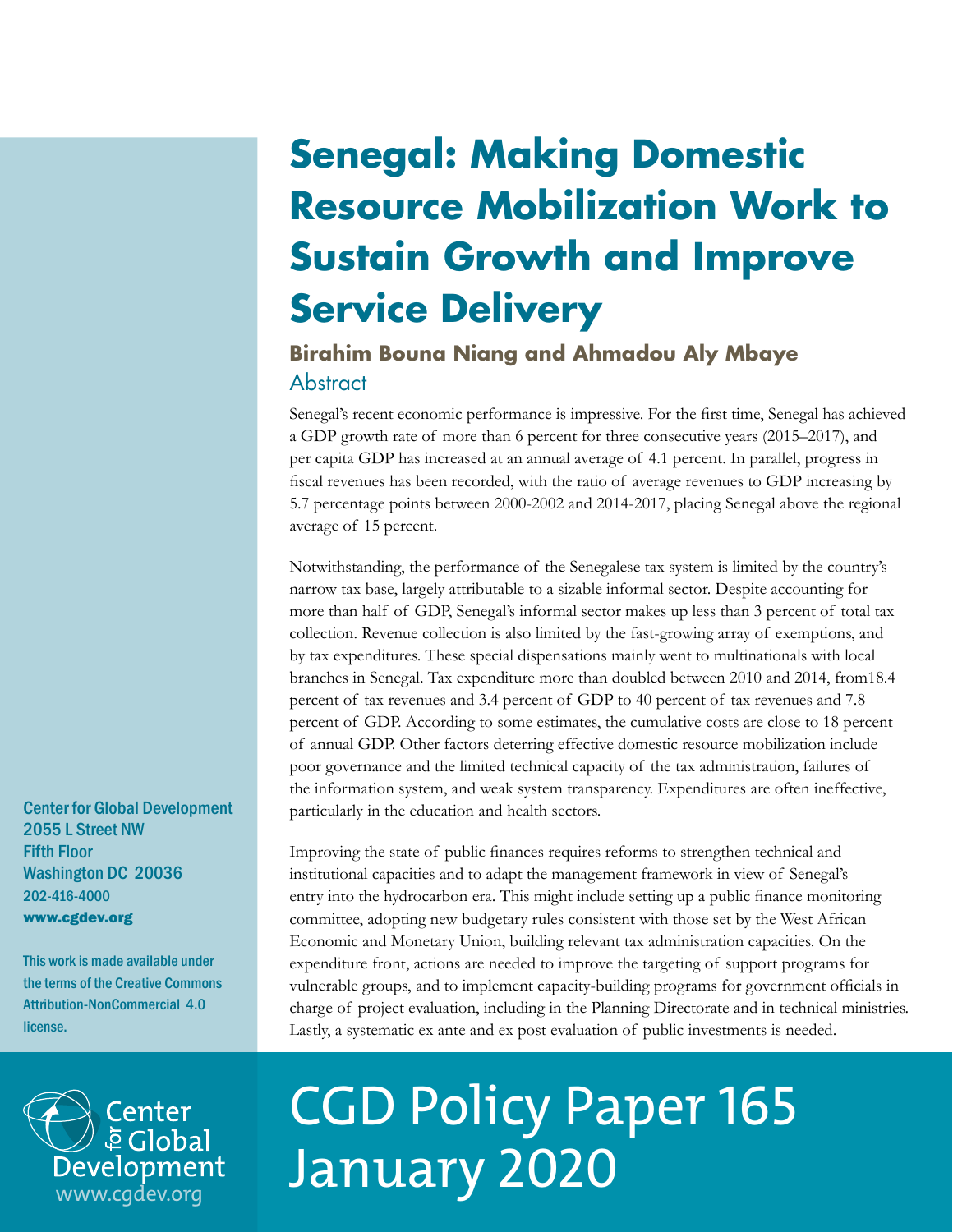## **Senegal: Making Domestic Resource Mobilization Work to Sustain Growth and Improve Service Delivery**

## **Abstract Birahim Bouna Niang and Ahmadou Aly Mbaye**

Senegal's recent economic performance is impressive. For the first time, Senegal has achieved a GDP growth rate of more than 6 percent for three consecutive years (2015–2017), and per capita GDP has increased at an annual average of 4.1 percent. In parallel, progress in fiscal revenues has been recorded, with the ratio of average revenues to GDP increasing by 5.7 percentage points between 2000-2002 and 2014-2017, placing Senegal above the regional average of 15 percent.

Notwithstanding, the performance of the Senegalese tax system is limited by the country's narrow tax base, largely attributable to a sizable informal sector. Despite accounting for more than half of GDP, Senegal's informal sector makes up less than 3 percent of total tax collection. Revenue collection is also limited by the fast-growing array of exemptions, and by tax expenditures. These special dispensations mainly went to multinationals with local branches in Senegal. Tax expenditure more than doubled between 2010 and 2014, from18.4 percent of tax revenues and 3.4 percent of GDP to 40 percent of tax revenues and 7.8 percent of GDP. According to some estimates, the cumulative costs are close to 18 percent of annual GDP. Other factors deterring effective domestic resource mobilization include poor governance and the limited technical capacity of the tax administration, failures of the information system, and weak system transparency. Expenditures are often ineffective, particularly in the education and health sectors.

Improving the state of public finances requires reforms to strengthen technical and institutional capacities and to adapt the management framework in view of Senegal's entry into the hydrocarbon era. This might include setting up a public finance monitoring committee, adopting new budgetary rules consistent with those set by the West African Economic and Monetary Union, building relevant tax administration capacities. On the expenditure front, actions are needed to improve the targeting of support programs for vulnerable groups, and to implement capacity-building programs for government officials in charge of project evaluation, including in the Planning Directorate and in technical ministries. Lastly, a systematic ex ante and ex post evaluation of public investments is needed.



# CGD Policy Paper 165 January 2020

Center for Global Development 2055 L Street NW Fifth Floor Washington DC 20036 202-416-4000 www.cgdev.org

This work is made available under the terms of the Creative Commons Attribution-NonCommercial 4.0 license.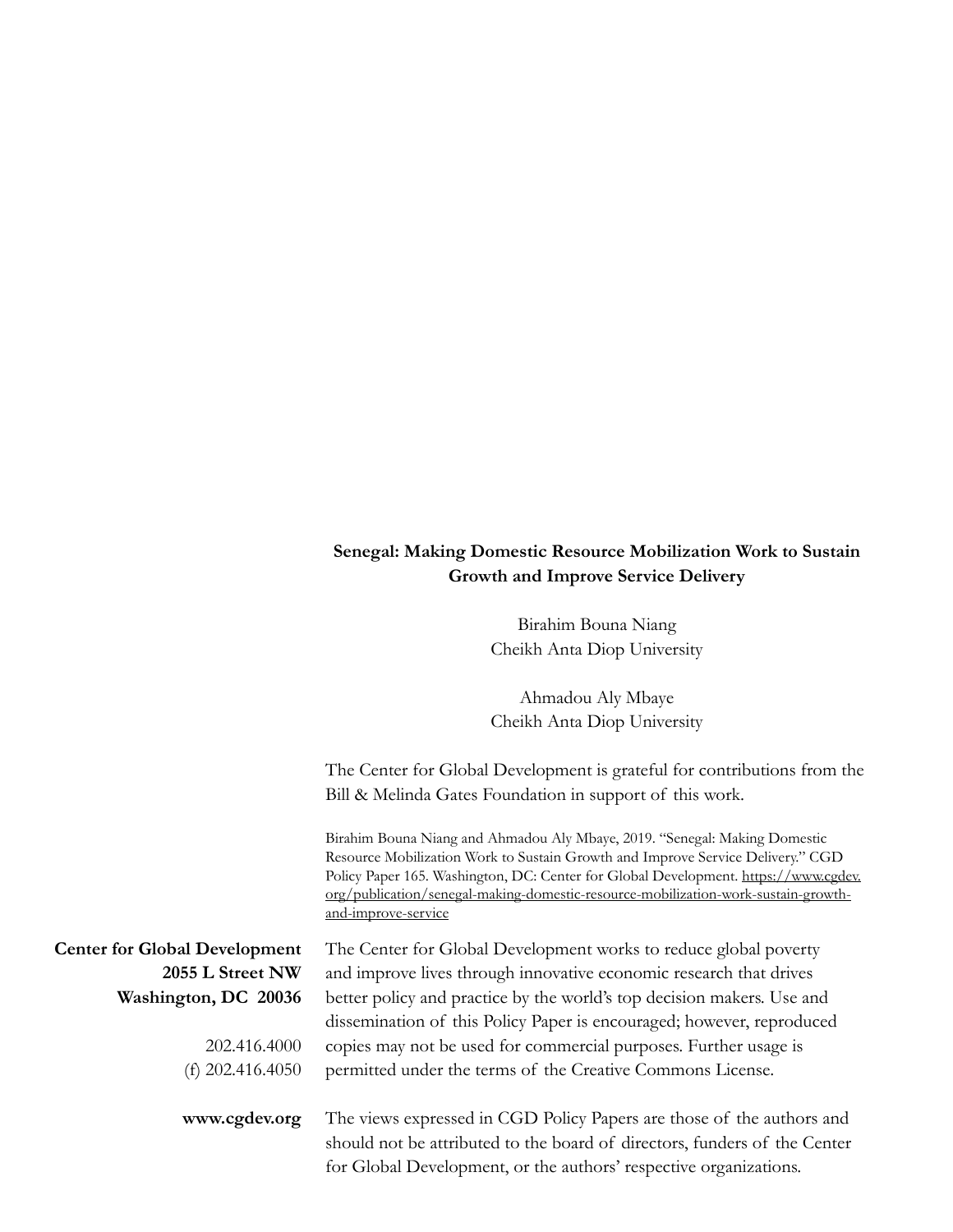#### **Senegal: Making Domestic Resource Mobilization Work to Sustain Growth and Improve Service Delivery**

Birahim Bouna Niang Cheikh Anta Diop University

Ahmadou Aly Mbaye Cheikh Anta Diop University

The Center for Global Development is grateful for contributions from the Bill & Melinda Gates Foundation in support of this work.

Birahim Bouna Niang and Ahmadou Aly Mbaye, 2019. "Senegal: Making Domestic Resource Mobilization Work to Sustain Growth and Improve Service Delivery." CGD Policy Paper 165. Washington, DC: Center for Global Development. [https://www.cgdev.](https://www.cgdev.org/publication/senegal-making-domestic-resource-mobilization-work-sustain-growth-) [org/publication/senegal-making-domestic-resource-mobilization-work-sustain-growth](https://www.cgdev.org/publication/senegal-making-domestic-resource-mobilization-work-sustain-growth-)[and-improve-service](https://www.cgdev.org/publication/senegal-making-domestic-resource-mobilization-work-sustain-growth-)

| <b>Center for Global Development</b> | The Center for Global Development works to reduce global poverty          |
|--------------------------------------|---------------------------------------------------------------------------|
| 2055 L Street NW                     | and improve lives through innovative economic research that drives        |
| Washington, DC 20036                 | better policy and practice by the world's top decision makers. Use and    |
|                                      | dissemination of this Policy Paper is encouraged; however, reproduced     |
| 202.416.4000                         | copies may not be used for commercial purposes. Further usage is          |
| (f) $202.416.4050$                   | permitted under the terms of the Creative Commons License.                |
|                                      |                                                                           |
| www.cgdev.org                        | The views expressed in CGD Policy Papers are those of the authors and     |
|                                      | should not be attributed to the board of directors, funders of the Center |
|                                      | for Global Development, or the authors' respective organizations.         |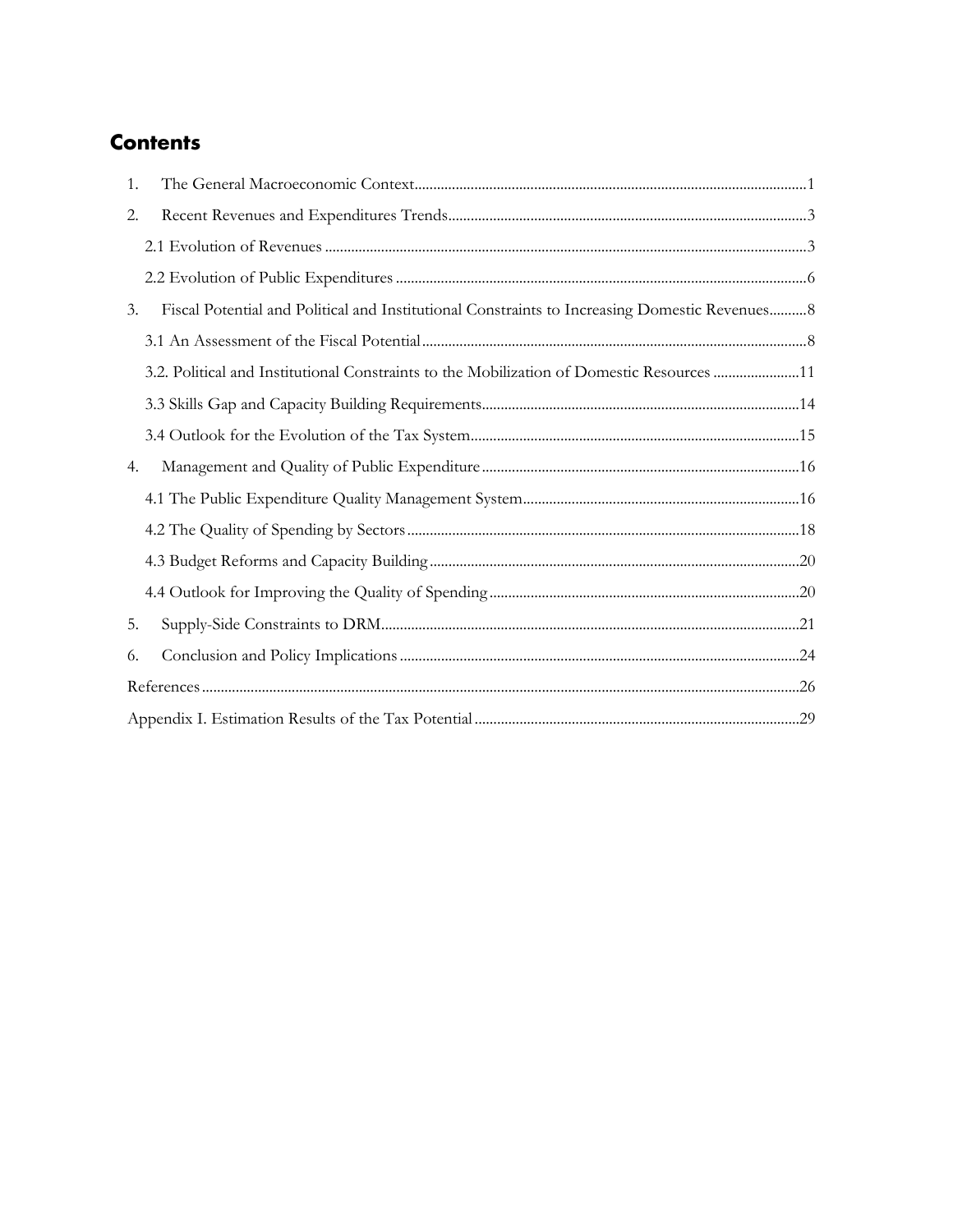## **Contents**

| 1.                                                                                                   |  |
|------------------------------------------------------------------------------------------------------|--|
| 2.                                                                                                   |  |
|                                                                                                      |  |
|                                                                                                      |  |
| Fiscal Potential and Political and Institutional Constraints to Increasing Domestic Revenues 8<br>3. |  |
|                                                                                                      |  |
| 3.2. Political and Institutional Constraints to the Mobilization of Domestic Resources 11            |  |
|                                                                                                      |  |
|                                                                                                      |  |
| 4.                                                                                                   |  |
|                                                                                                      |  |
|                                                                                                      |  |
|                                                                                                      |  |
|                                                                                                      |  |
| 5.                                                                                                   |  |
| 6.                                                                                                   |  |
|                                                                                                      |  |
|                                                                                                      |  |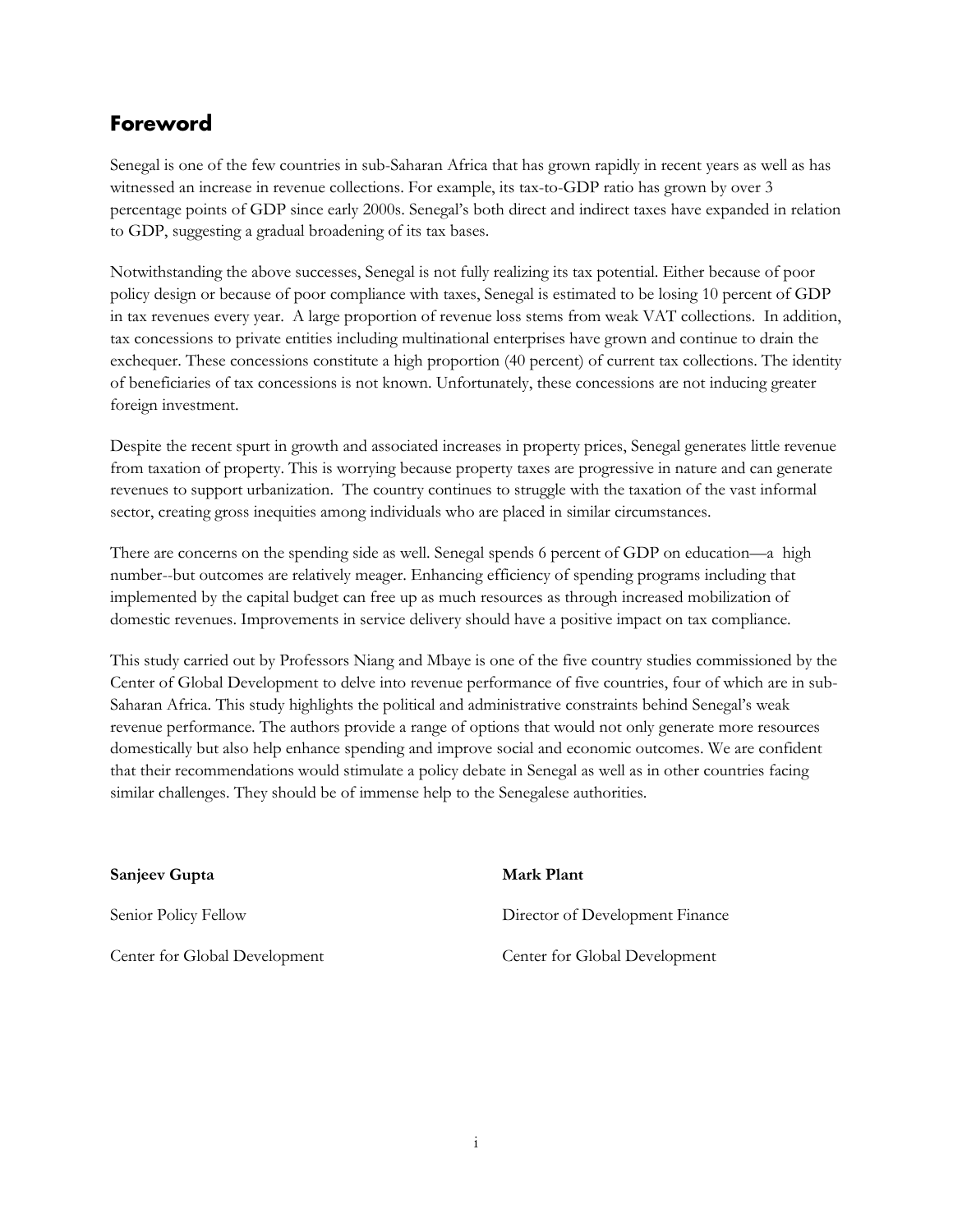## **Foreword**

Senegal is one of the few countries in sub-Saharan Africa that has grown rapidly in recent years as well as has witnessed an increase in revenue collections. For example, its tax-to-GDP ratio has grown by over 3 percentage points of GDP since early 2000s. Senegal's both direct and indirect taxes have expanded in relation to GDP, suggesting a gradual broadening of its tax bases.

Notwithstanding the above successes, Senegal is not fully realizing its tax potential. Either because of poor policy design or because of poor compliance with taxes, Senegal is estimated to be losing 10 percent of GDP in tax revenues every year. A large proportion of revenue loss stems from weak VAT collections. In addition, tax concessions to private entities including multinational enterprises have grown and continue to drain the exchequer. These concessions constitute a high proportion (40 percent) of current tax collections. The identity of beneficiaries of tax concessions is not known. Unfortunately, these concessions are not inducing greater foreign investment.

Despite the recent spurt in growth and associated increases in property prices, Senegal generates little revenue from taxation of property. This is worrying because property taxes are progressive in nature and can generate revenues to support urbanization. The country continues to struggle with the taxation of the vast informal sector, creating gross inequities among individuals who are placed in similar circumstances.

There are concerns on the spending side as well. Senegal spends 6 percent of GDP on education—a high number--but outcomes are relatively meager. Enhancing efficiency of spending programs including that implemented by the capital budget can free up as much resources as through increased mobilization of domestic revenues. Improvements in service delivery should have a positive impact on tax compliance.

This study carried out by Professors Niang and Mbaye is one of the five country studies commissioned by the Center of Global Development to delve into revenue performance of five countries, four of which are in sub-Saharan Africa. This study highlights the political and administrative constraints behind Senegal's weak revenue performance. The authors provide a range of options that would not only generate more resources domestically but also help enhance spending and improve social and economic outcomes. We are confident that their recommendations would stimulate a policy debate in Senegal as well as in other countries facing similar challenges. They should be of immense help to the Senegalese authorities.

| Sanjeev Gupta                 | Mark Plant                      |
|-------------------------------|---------------------------------|
| Senior Policy Fellow          | Director of Development Finance |
| Center for Global Development | Center for Global Development   |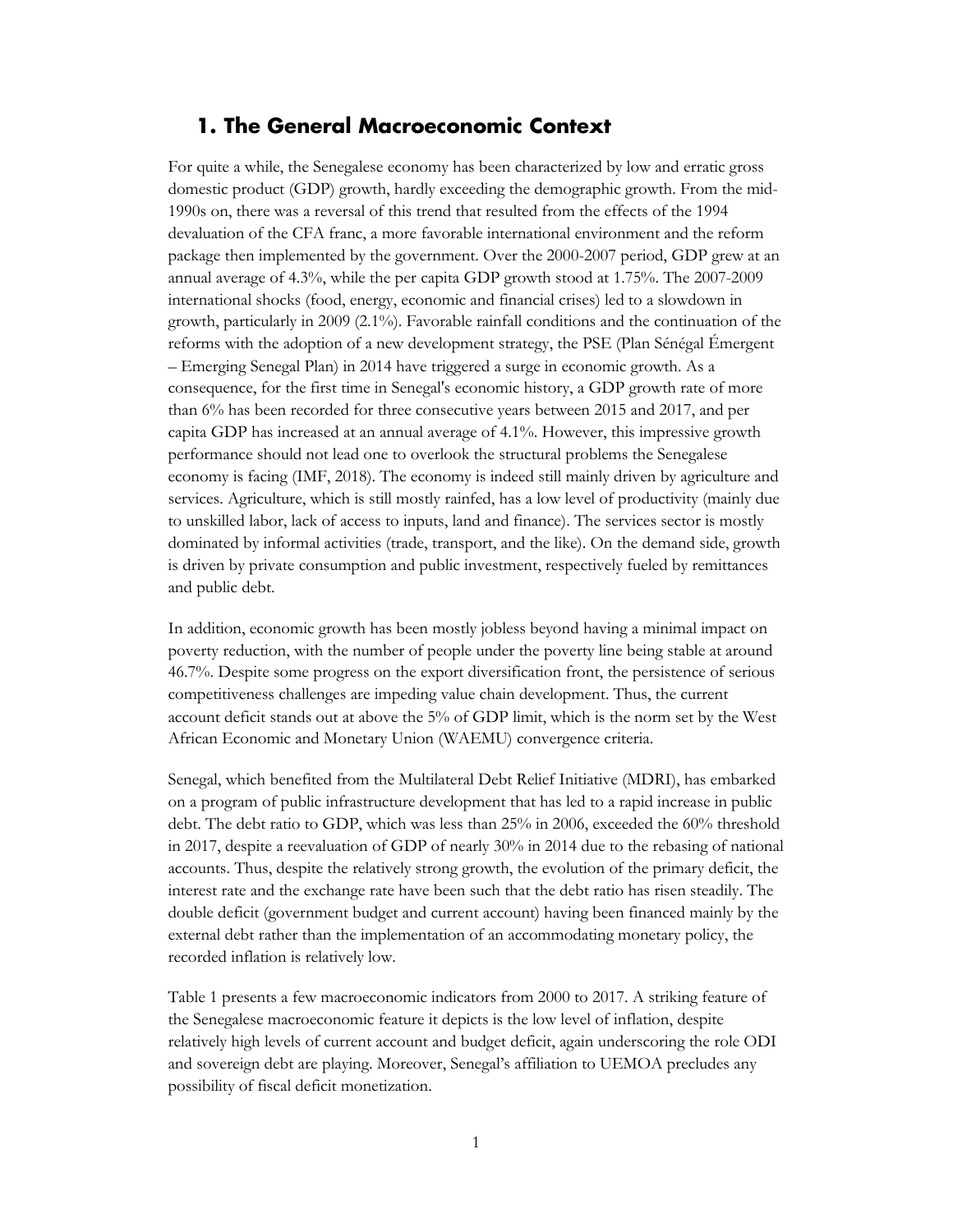#### <span id="page-4-0"></span>**1. The General Macroeconomic Context**

For quite a while, the Senegalese economy has been characterized by low and erratic gross domestic product (GDP) growth, hardly exceeding the demographic growth. From the mid-1990s on, there was a reversal of this trend that resulted from the effects of the 1994 devaluation of the CFA franc, a more favorable international environment and the reform package then implemented by the government. Over the 2000-2007 period, GDP grew at an annual average of 4.3%, while the per capita GDP growth stood at 1.75%. The 2007-2009 international shocks (food, energy, economic and financial crises) led to a slowdown in growth, particularly in 2009 (2.1%). Favorable rainfall conditions and the continuation of the reforms with the adoption of a new development strategy, the PSE (Plan Sénégal Émergent – Emerging Senegal Plan) in 2014 have triggered a surge in economic growth. As a consequence, for the first time in Senegal's economic history, a GDP growth rate of more than 6% has been recorded for three consecutive years between 2015 and 2017, and per capita GDP has increased at an annual average of 4.1%. However, this impressive growth performance should not lead one to overlook the structural problems the Senegalese economy is facing (IMF, 2018). The economy is indeed still mainly driven by agriculture and services. Agriculture, which is still mostly rainfed, has a low level of productivity (mainly due to unskilled labor, lack of access to inputs, land and finance). The services sector is mostly dominated by informal activities (trade, transport, and the like). On the demand side, growth is driven by private consumption and public investment, respectively fueled by remittances and public debt.

In addition, economic growth has been mostly jobless beyond having a minimal impact on poverty reduction, with the number of people under the poverty line being stable at around 46.7%. Despite some progress on the export diversification front, the persistence of serious competitiveness challenges are impeding value chain development. Thus, the current account deficit stands out at above the 5% of GDP limit, which is the norm set by the West African Economic and Monetary Union (WAEMU) convergence criteria.

Senegal, which benefited from the Multilateral Debt Relief Initiative (MDRI), has embarked on a program of public infrastructure development that has led to a rapid increase in public debt. The debt ratio to GDP, which was less than 25% in 2006, exceeded the 60% threshold in 2017, despite a reevaluation of GDP of nearly 30% in 2014 due to the rebasing of national accounts. Thus, despite the relatively strong growth, the evolution of the primary deficit, the interest rate and the exchange rate have been such that the debt ratio has risen steadily. The double deficit (government budget and current account) having been financed mainly by the external debt rather than the implementation of an accommodating monetary policy, the recorded inflation is relatively low.

Table 1 presents a few macroeconomic indicators from 2000 to 2017. A striking feature of the Senegalese macroeconomic feature it depicts is the low level of inflation, despite relatively high levels of current account and budget deficit, again underscoring the role ODI and sovereign debt are playing. Moreover, Senegal's affiliation to UEMOA precludes any possibility of fiscal deficit monetization.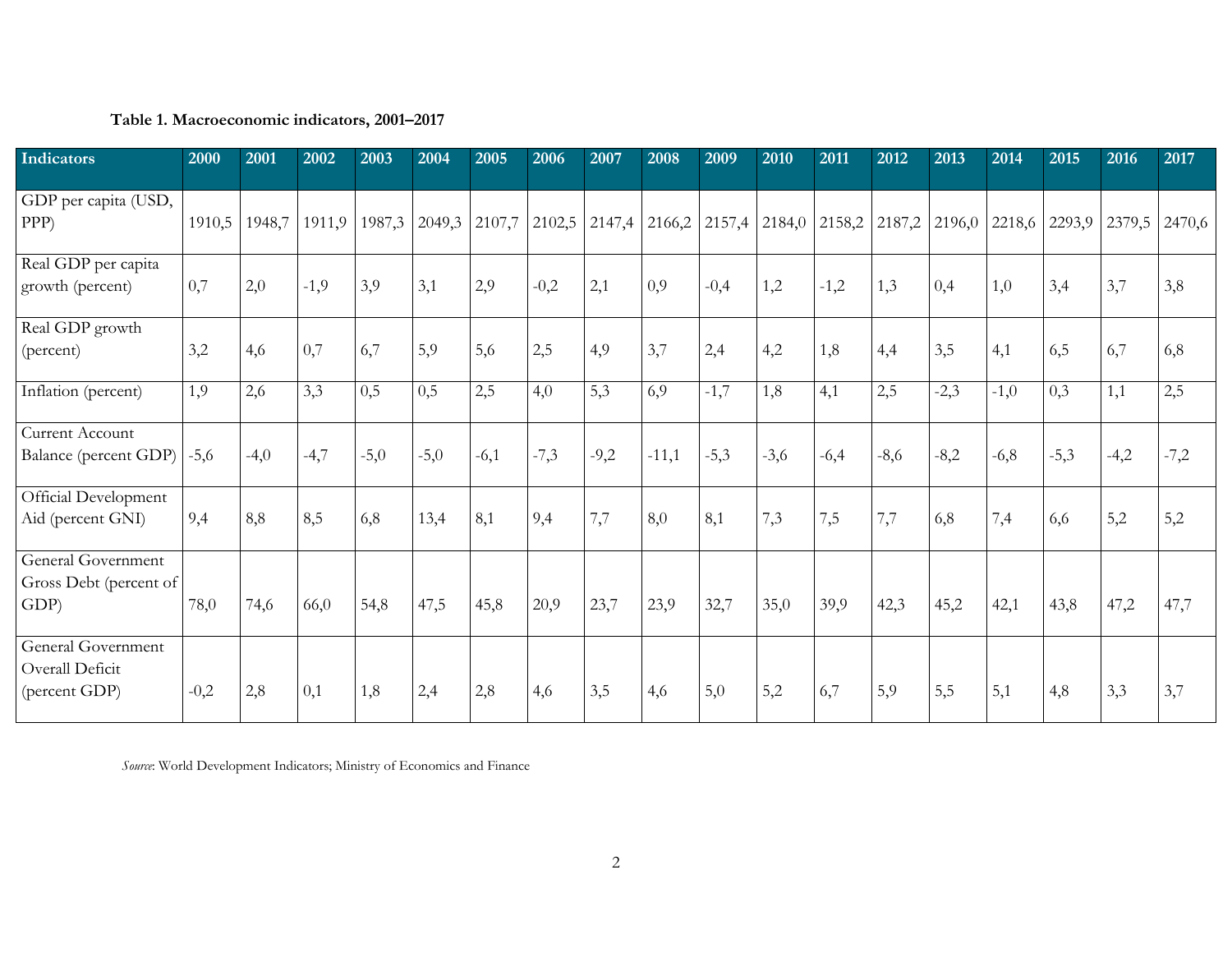#### **Table 1. Macroeconomic indicators, 2001–2017**

| Indicators                                                  | 2000   | 2001   | 2002   | 2003   | 2004   | 2005   | 2006   | 2007                   | 2008    | 2009                                                 | 2010   | 2011   | 2012   | 2013   | 2014   | 2015   | 2016          | 2017   |
|-------------------------------------------------------------|--------|--------|--------|--------|--------|--------|--------|------------------------|---------|------------------------------------------------------|--------|--------|--------|--------|--------|--------|---------------|--------|
| GDP per capita (USD,<br>PPP)                                | 1910,5 | 1948,7 | 1911,9 | 1987,3 | 2049,3 |        |        | $2107,7$ 2102,5 2147,4 | 2166,2  | $\vert$ 2157,4 $\vert$ 2184,0 $\vert$ 2158,2 $\vert$ |        |        | 2187,2 | 2196,0 | 2218,6 |        | 2293,9 2379,5 | 2470,6 |
| Real GDP per capita<br>growth (percent)                     | 0,7    | 2,0    | $-1,9$ | 3,9    | 3,1    | 2,9    | $-0,2$ | 2,1                    | 0,9     | $-0,4$                                               | 1,2    | $-1,2$ | 1,3    | 0,4    | 1,0    | 3,4    | 3,7           | 3,8    |
| Real GDP growth<br>(percent)                                | 3,2    | 4,6    | 0,7    | 6,7    | 5,9    | 5,6    | 2,5    | 4,9                    | 3,7     | 2,4                                                  | 4,2    | 1,8    | 4,4    | 3,5    | 4,1    | 6,5    | 6,7           | 6,8    |
| Inflation (percent)                                         | 1,9    | 2,6    | 3,3    | 0,5    | 0,5    | 2,5    | 4,0    | 5,3                    | 6,9     | $-1,7$                                               | 1,8    | 4,1    | 2,5    | $-2,3$ | $-1,0$ | 0,3    | 1,1           | 2,5    |
| Current Account<br>Balance (percent GDP)                    | $-5,6$ | $-4,0$ | $-4,7$ | $-5,0$ | $-5,0$ | $-6,1$ | $-7,3$ | $-9,2$                 | $-11,1$ | $-5,3$                                               | $-3,6$ | $-6,4$ | $-8,6$ | $-8,2$ | $-6,8$ | $-5,3$ | $-4,2$        | $-7,2$ |
| Official Development<br>Aid (percent GNI)                   | 9,4    | 8,8    | 8,5    | 6,8    | 13,4   | 8,1    | 9,4    | 7,7                    | 8,0     | 8,1                                                  | 7,3    | 7,5    | 7,7    | 6,8    | 7,4    | 6,6    | 5,2           | 5,2    |
| <b>General Government</b><br>Gross Debt (percent of<br>GDP) | 78,0   | 74,6   | 66,0   | 54,8   | 47,5   | 45,8   | 20,9   | 23,7                   | 23,9    | 32,7                                                 | 35,0   | 39,9   | 42,3   | 45,2   | 42,1   | 43,8   | 47,2          | 47,7   |
| General Government<br>Overall Deficit<br>(percent GDP)      | $-0,2$ | 2,8    | 0,1    | 1,8    | 2,4    | 2,8    | 4,6    | 3,5                    | 4,6     | 5,0                                                  | 5,2    | 6,7    | 5,9    | 5,5    | 5,1    | 4,8    | 3,3           | 3,7    |

*Source*: World Development Indicators; Ministry of Economics and Finance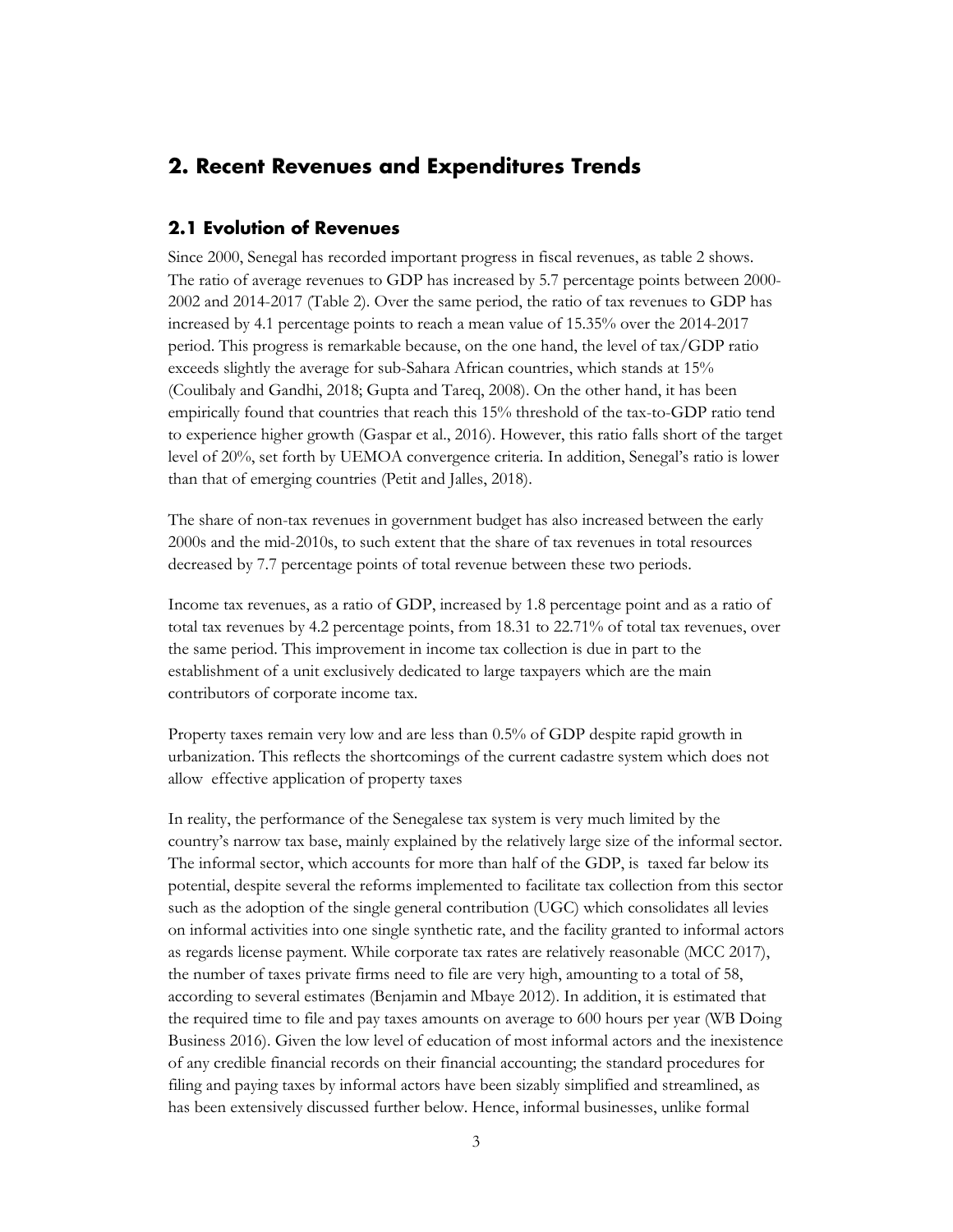## <span id="page-6-0"></span>**2. Recent Revenues and Expenditures Trends**

#### <span id="page-6-1"></span>**2.1 Evolution of Revenues**

Since 2000, Senegal has recorded important progress in fiscal revenues, as table 2 shows. The ratio of average revenues to GDP has increased by 5.7 percentage points between 2000- 2002 and 2014-2017 (Table 2). Over the same period, the ratio of tax revenues to GDP has increased by 4.1 percentage points to reach a mean value of 15.35% over the 2014-2017 period. This progress is remarkable because, on the one hand, the level of tax/GDP ratio exceeds slightly the average for sub-Sahara African countries, which stands at 15% (Coulibaly and Gandhi, 2018; Gupta and Tareq, 2008). On the other hand, it has been empirically found that countries that reach this 15% threshold of the tax-to-GDP ratio tend to experience higher growth (Gaspar et al., 2016). However, this ratio falls short of the target level of 20%, set forth by UEMOA convergence criteria. In addition, Senegal's ratio is lower than that of emerging countries (Petit and Jalles, 2018).

The share of non-tax revenues in government budget has also increased between the early 2000s and the mid-2010s, to such extent that the share of tax revenues in total resources decreased by 7.7 percentage points of total revenue between these two periods.

Income tax revenues, as a ratio of GDP, increased by 1.8 percentage point and as a ratio of total tax revenues by 4.2 percentage points, from 18.31 to 22.71% of total tax revenues, over the same period. This improvement in income tax collection is due in part to the establishment of a unit exclusively dedicated to large taxpayers which are the main contributors of corporate income tax.

Property taxes remain very low and are less than 0.5% of GDP despite rapid growth in urbanization. This reflects the shortcomings of the current cadastre system which does not allow effective application of property taxes

In reality, the performance of the Senegalese tax system is very much limited by the country's narrow tax base, mainly explained by the relatively large size of the informal sector. The informal sector, which accounts for more than half of the GDP, is taxed far below its potential, despite several the reforms implemented to facilitate tax collection from this sector such as the adoption of the single general contribution (UGC) which consolidates all levies on informal activities into one single synthetic rate, and the facility granted to informal actors as regards license payment. While corporate tax rates are relatively reasonable (MCC 2017), the number of taxes private firms need to file are very high, amounting to a total of 58, according to several estimates (Benjamin and Mbaye 2012). In addition, it is estimated that the required time to file and pay taxes amounts on average to 600 hours per year (WB Doing Business 2016). Given the low level of education of most informal actors and the inexistence of any credible financial records on their financial accounting; the standard procedures for filing and paying taxes by informal actors have been sizably simplified and streamlined, as has been extensively discussed further below. Hence, informal businesses, unlike formal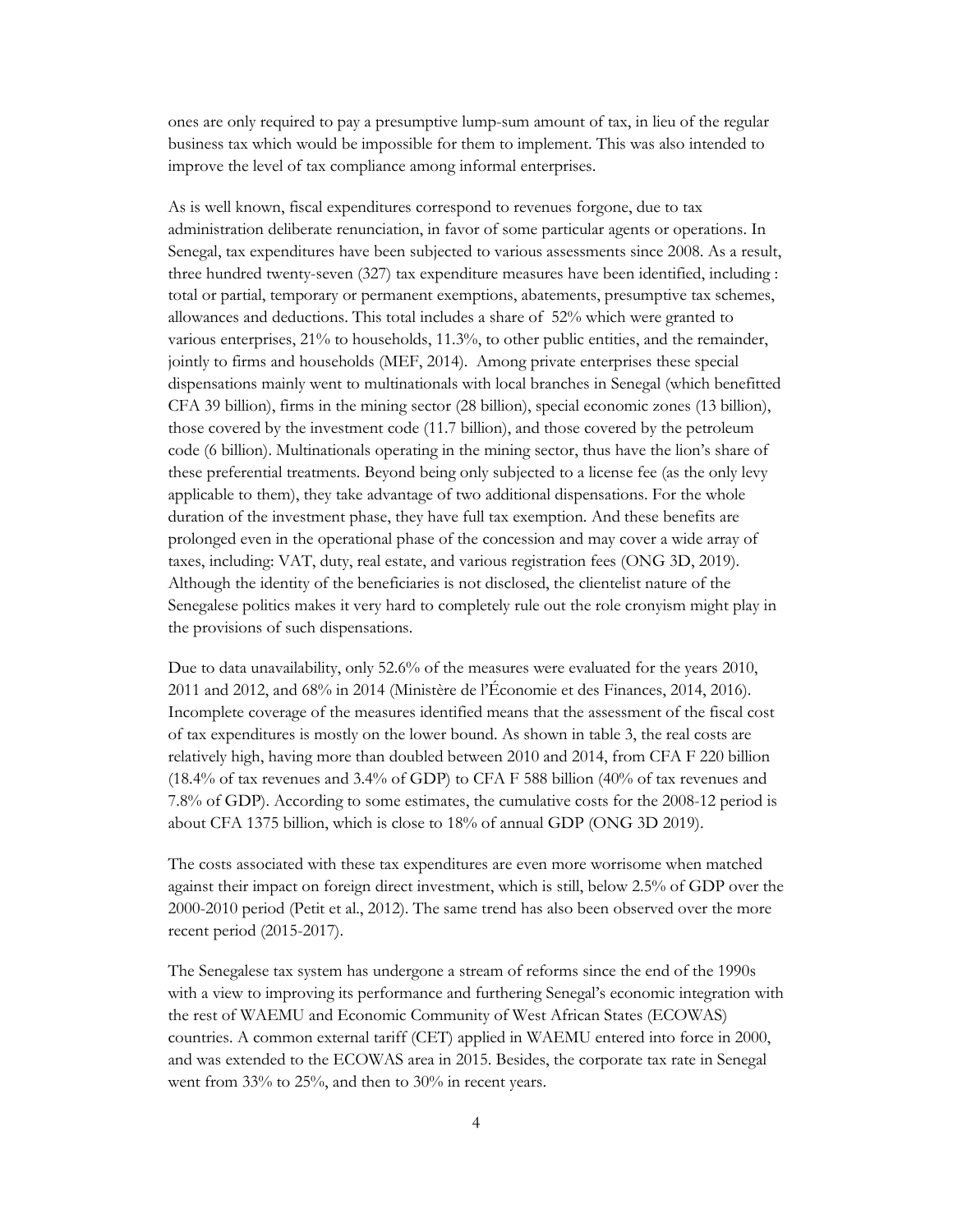ones are only required to pay a presumptive lump-sum amount of tax, in lieu of the regular business tax which would be impossible for them to implement. This was also intended to improve the level of tax compliance among informal enterprises.

As is well known, fiscal expenditures correspond to revenues forgone, due to tax administration deliberate renunciation, in favor of some particular agents or operations. In Senegal, tax expenditures have been subjected to various assessments since 2008. As a result, three hundred twenty-seven (327) tax expenditure measures have been identified, including : total or partial, temporary or permanent exemptions, abatements, presumptive tax schemes, allowances and deductions. This total includes a share of 52% which were granted to various enterprises, 21% to households, 11.3%, to other public entities, and the remainder, jointly to firms and households (MEF, 2014). Among private enterprises these special dispensations mainly went to multinationals with local branches in Senegal (which benefitted CFA 39 billion), firms in the mining sector (28 billion), special economic zones (13 billion), those covered by the investment code (11.7 billion), and those covered by the petroleum code (6 billion). Multinationals operating in the mining sector, thus have the lion's share of these preferential treatments. Beyond being only subjected to a license fee (as the only levy applicable to them), they take advantage of two additional dispensations. For the whole duration of the investment phase, they have full tax exemption. And these benefits are prolonged even in the operational phase of the concession and may cover a wide array of taxes, including: VAT, duty, real estate, and various registration fees (ONG 3D, 2019). Although the identity of the beneficiaries is not disclosed, the clientelist nature of the Senegalese politics makes it very hard to completely rule out the role cronyism might play in the provisions of such dispensations.

Due to data unavailability, only 52.6% of the measures were evaluated for the years 2010, 2011 and 2012, and 68% in 2014 (Ministère de l'Économie et des Finances, 2014, 2016). Incomplete coverage of the measures identified means that the assessment of the fiscal cost of tax expenditures is mostly on the lower bound. As shown in table 3, the real costs are relatively high, having more than doubled between 2010 and 2014, from CFA F 220 billion (18.4% of tax revenues and 3.4% of GDP) to CFA F 588 billion (40% of tax revenues and 7.8% of GDP). According to some estimates, the cumulative costs for the 2008-12 period is about CFA 1375 billion, which is close to 18% of annual GDP (ONG 3D 2019).

The costs associated with these tax expenditures are even more worrisome when matched against their impact on foreign direct investment, which is still, below 2.5% of GDP over the 2000-2010 period (Petit et al., 2012). The same trend has also been observed over the more recent period (2015-2017).

The Senegalese tax system has undergone a stream of reforms since the end of the 1990s with a view to improving its performance and furthering Senegal's economic integration with the rest of WAEMU and Economic Community of West African States (ECOWAS) countries. A common external tariff (CET) applied in WAEMU entered into force in 2000, and was extended to the ECOWAS area in 2015. Besides, the corporate tax rate in Senegal went from 33% to 25%, and then to 30% in recent years.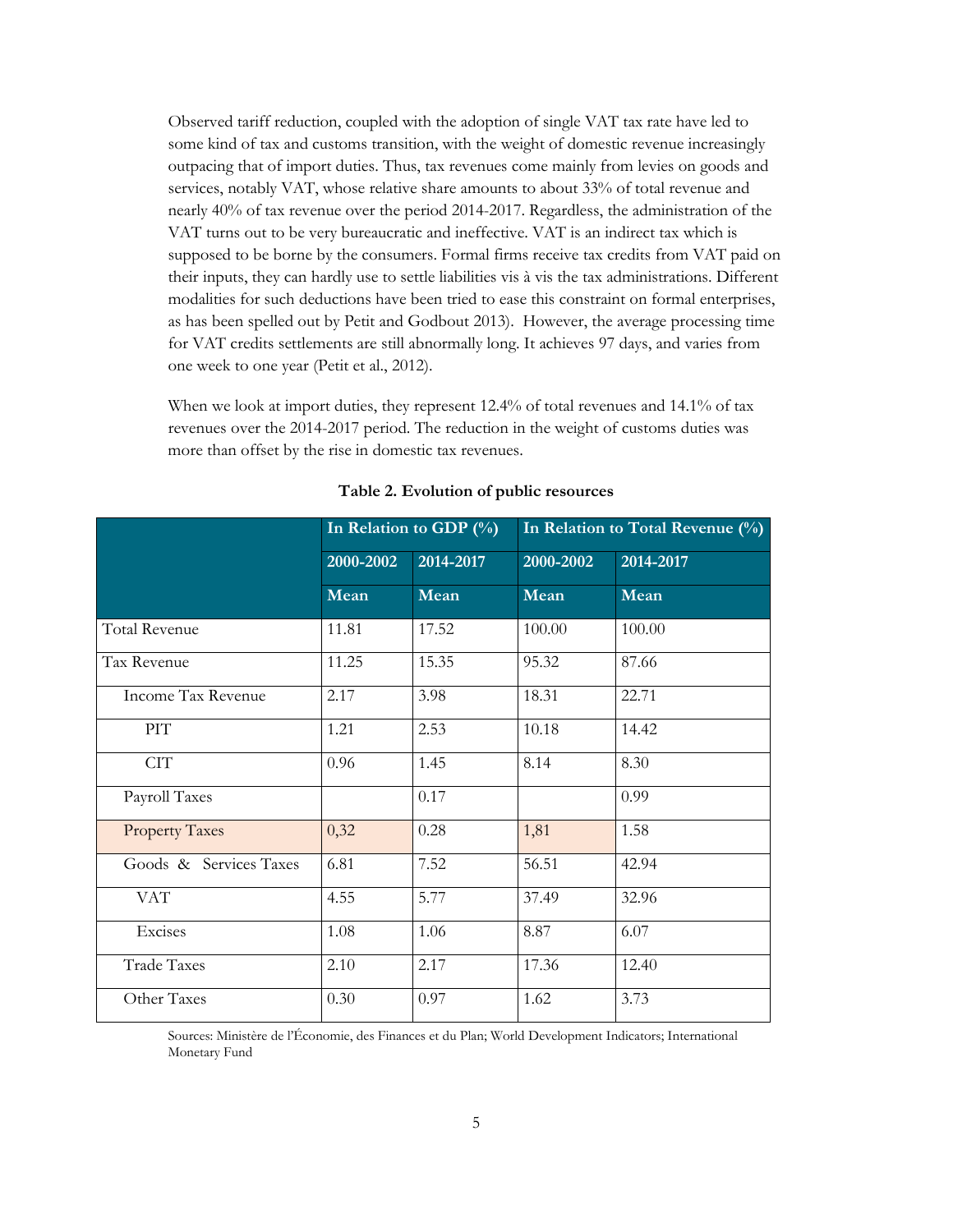Observed tariff reduction, coupled with the adoption of single VAT tax rate have led to some kind of tax and customs transition, with the weight of domestic revenue increasingly outpacing that of import duties. Thus, tax revenues come mainly from levies on goods and services, notably VAT, whose relative share amounts to about 33% of total revenue and nearly 40% of tax revenue over the period 2014-2017. Regardless, the administration of the VAT turns out to be very bureaucratic and ineffective. VAT is an indirect tax which is supposed to be borne by the consumers. Formal firms receive tax credits from VAT paid on their inputs, they can hardly use to settle liabilities vis à vis the tax administrations. Different modalities for such deductions have been tried to ease this constraint on formal enterprises, as has been spelled out by Petit and Godbout 2013). However, the average processing time for VAT credits settlements are still abnormally long. It achieves 97 days, and varies from one week to one year (Petit et al., 2012).

When we look at import duties, they represent 12.4% of total revenues and 14.1% of tax revenues over the 2014-2017 period. The reduction in the weight of customs duties was more than offset by the rise in domestic tax revenues.

|                        |           | In Relation to GDP (%) |           | In Relation to Total Revenue (%) |
|------------------------|-----------|------------------------|-----------|----------------------------------|
|                        | 2000-2002 | 2014-2017              | 2000-2002 | 2014-2017                        |
|                        | Mean      | Mean                   | Mean      | Mean                             |
| <b>Total Revenue</b>   | 11.81     | 17.52                  | 100.00    | 100.00                           |
| Tax Revenue            | 11.25     | 15.35                  | 95.32     | 87.66                            |
| Income Tax Revenue     | 2.17      | 3.98                   | 18.31     | 22.71                            |
| PIT                    | 1.21      | 2.53                   | 10.18     | 14.42                            |
| <b>CIT</b>             | 0.96      | 1.45                   | 8.14      | 8.30                             |
| Payroll Taxes          |           | 0.17                   |           | 0.99                             |
| <b>Property Taxes</b>  | 0,32      | 0.28                   | 1,81      | 1.58                             |
| Goods & Services Taxes | 6.81      | 7.52                   | 56.51     | 42.94                            |
| <b>VAT</b>             | 4.55      | 5.77                   | 37.49     | 32.96                            |
| Excises                | 1.08      | 1.06                   | 8.87      | 6.07                             |
| <b>Trade Taxes</b>     | 2.10      | 2.17                   | 17.36     | 12.40                            |
| Other Taxes            | 0.30      | 0.97                   | 1.62      | 3.73                             |

**Table 2. Evolution of public resources**

Sources: Ministère de l'Économie, des Finances et du Plan; World Development Indicators; International Monetary Fund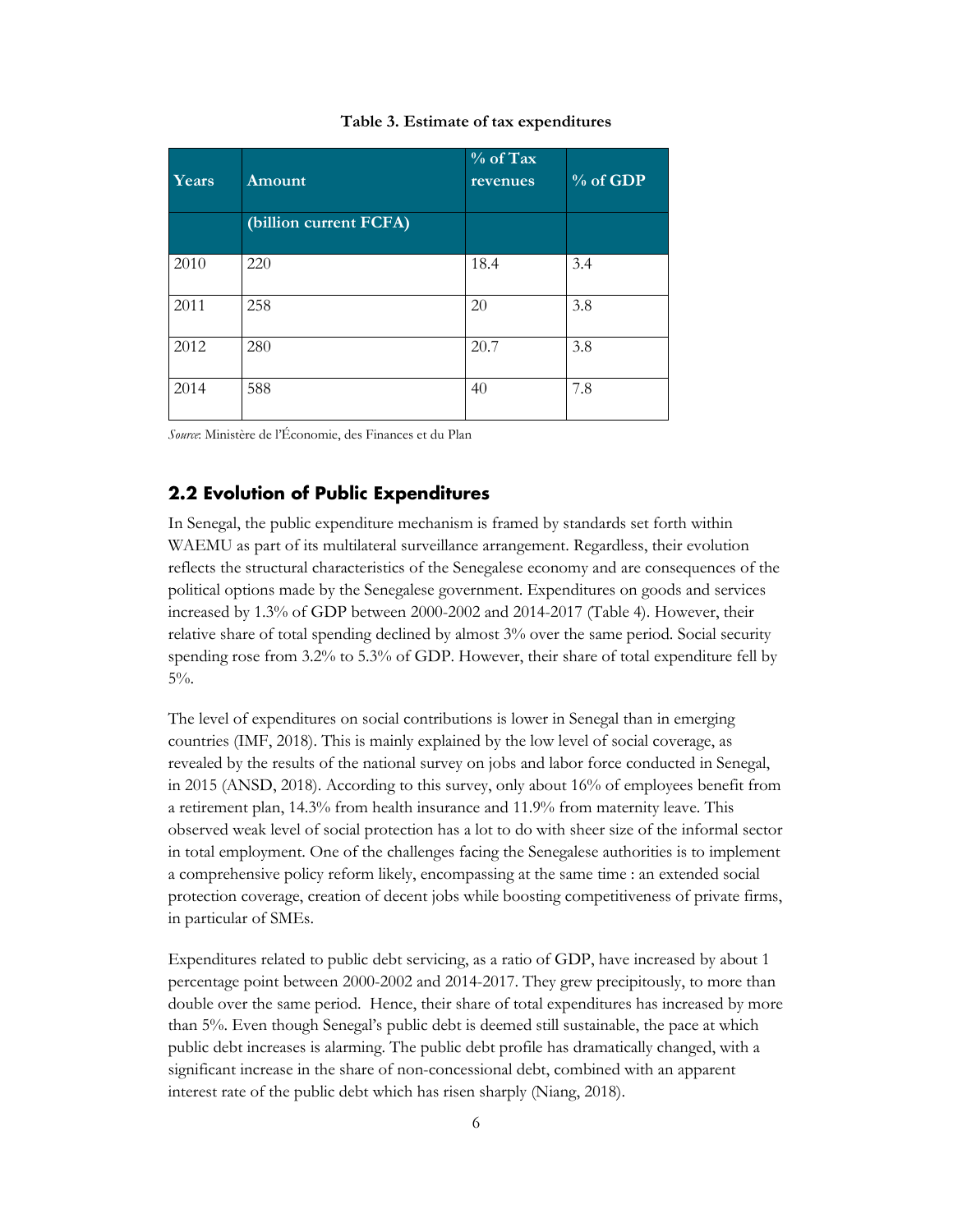#### **Table 3. Estimate of tax expenditures**

| Years | Amount                 | % of Tax<br>revenues | $%$ of GDP |
|-------|------------------------|----------------------|------------|
|       | (billion current FCFA) |                      |            |
| 2010  | 220                    | 18.4                 | 3.4        |
| 2011  | 258                    | 20                   | 3.8        |
| 2012  | 280                    | 20.7                 | 3.8        |
| 2014  | 588                    | 40                   | 7.8        |

*Source*: Ministère de l'Économie, des Finances et du Plan

#### <span id="page-9-0"></span>**2.2 Evolution of Public Expenditures**

In Senegal, the public expenditure mechanism is framed by standards set forth within WAEMU as part of its multilateral surveillance arrangement. Regardless, their evolution reflects the structural characteristics of the Senegalese economy and are consequences of the political options made by the Senegalese government. Expenditures on goods and services increased by 1.3% of GDP between 2000-2002 and 2014-2017 (Table 4). However, their relative share of total spending declined by almost 3% over the same period. Social security spending rose from 3.2% to 5.3% of GDP. However, their share of total expenditure fell by 5%.

The level of expenditures on social contributions is lower in Senegal than in emerging countries (IMF, 2018). This is mainly explained by the low level of social coverage, as revealed by the results of the national survey on jobs and labor force conducted in Senegal, in 2015 (ANSD, 2018). According to this survey, only about 16% of employees benefit from a retirement plan, 14.3% from health insurance and 11.9% from maternity leave. This observed weak level of social protection has a lot to do with sheer size of the informal sector in total employment. One of the challenges facing the Senegalese authorities is to implement a comprehensive policy reform likely, encompassing at the same time : an extended social protection coverage, creation of decent jobs while boosting competitiveness of private firms, in particular of SMEs.

Expenditures related to public debt servicing, as a ratio of GDP, have increased by about 1 percentage point between 2000-2002 and 2014-2017. They grew precipitously, to more than double over the same period. Hence, their share of total expenditures has increased by more than 5%. Even though Senegal's public debt is deemed still sustainable, the pace at which public debt increases is alarming. The public debt profile has dramatically changed, with a significant increase in the share of non-concessional debt, combined with an apparent interest rate of the public debt which has risen sharply (Niang, 2018).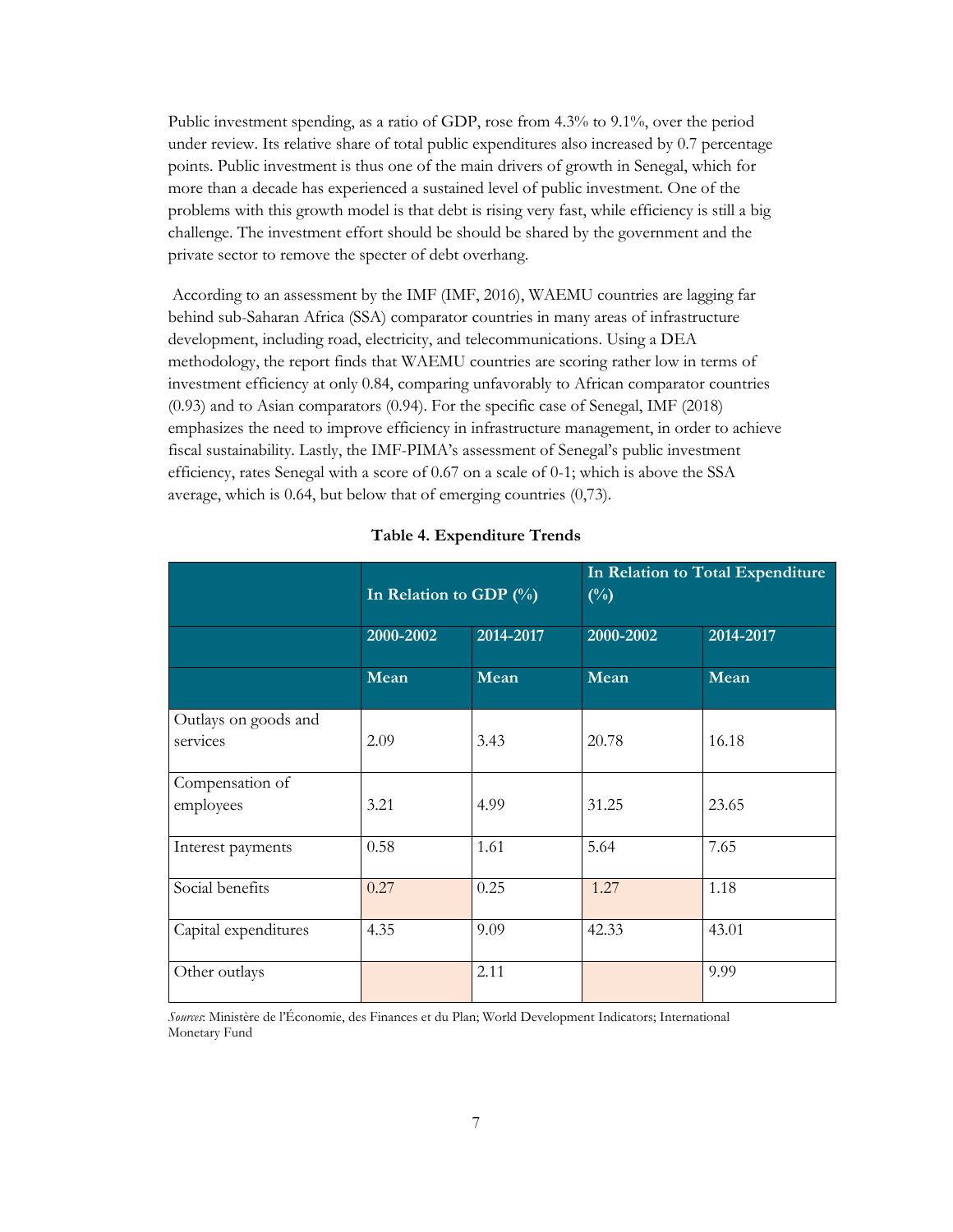Public investment spending, as a ratio of GDP, rose from 4.3% to 9.1%, over the period under review. Its relative share of total public expenditures also increased by 0.7 percentage points. Public investment is thus one of the main drivers of growth in Senegal, which for more than a decade has experienced a sustained level of public investment. One of the problems with this growth model is that debt is rising very fast, while efficiency is still a big challenge. The investment effort should be should be shared by the government and the private sector to remove the specter of debt overhang.

According to an assessment by the IMF (IMF, 2016), WAEMU countries are lagging far behind sub-Saharan Africa (SSA) comparator countries in many areas of infrastructure development, including road, electricity, and telecommunications. Using a DEA methodology, the report finds that WAEMU countries are scoring rather low in terms of investment efficiency at only 0.84, comparing unfavorably to African comparator countries (0.93) and to Asian comparators (0.94). For the specific case of Senegal, IMF (2018) emphasizes the need to improve efficiency in infrastructure management, in order to achieve fiscal sustainability. Lastly, the IMF-PIMA's assessment of Senegal's public investment efficiency, rates Senegal with a score of 0.67 on a scale of 0-1; which is above the SSA average, which is 0.64, but below that of emerging countries (0,73).

|                                  | In Relation to GDP (%) |           | $(\%)$    | In Relation to Total Expenditure |
|----------------------------------|------------------------|-----------|-----------|----------------------------------|
|                                  | 2000-2002              | 2014-2017 | 2000-2002 | 2014-2017                        |
|                                  | Mean                   | Mean      | Mean      | Mean                             |
| Outlays on goods and<br>services | 2.09                   | 3.43      | 20.78     | 16.18                            |
| Compensation of<br>employees     | 3.21                   | 4.99      | 31.25     | 23.65                            |
| Interest payments                | 0.58                   | 1.61      | 5.64      | 7.65                             |
| Social benefits                  | 0.27                   | 0.25      | 1.27      | 1.18                             |
| Capital expenditures             | 4.35                   | 9.09      | 42.33     | 43.01                            |
| Other outlays                    |                        | 2.11      |           | 9.99                             |

#### **Table 4. Expenditure Trends**

*Sources*: Ministère de l'Économie, des Finances et du Plan; World Development Indicators; International Monetary Fund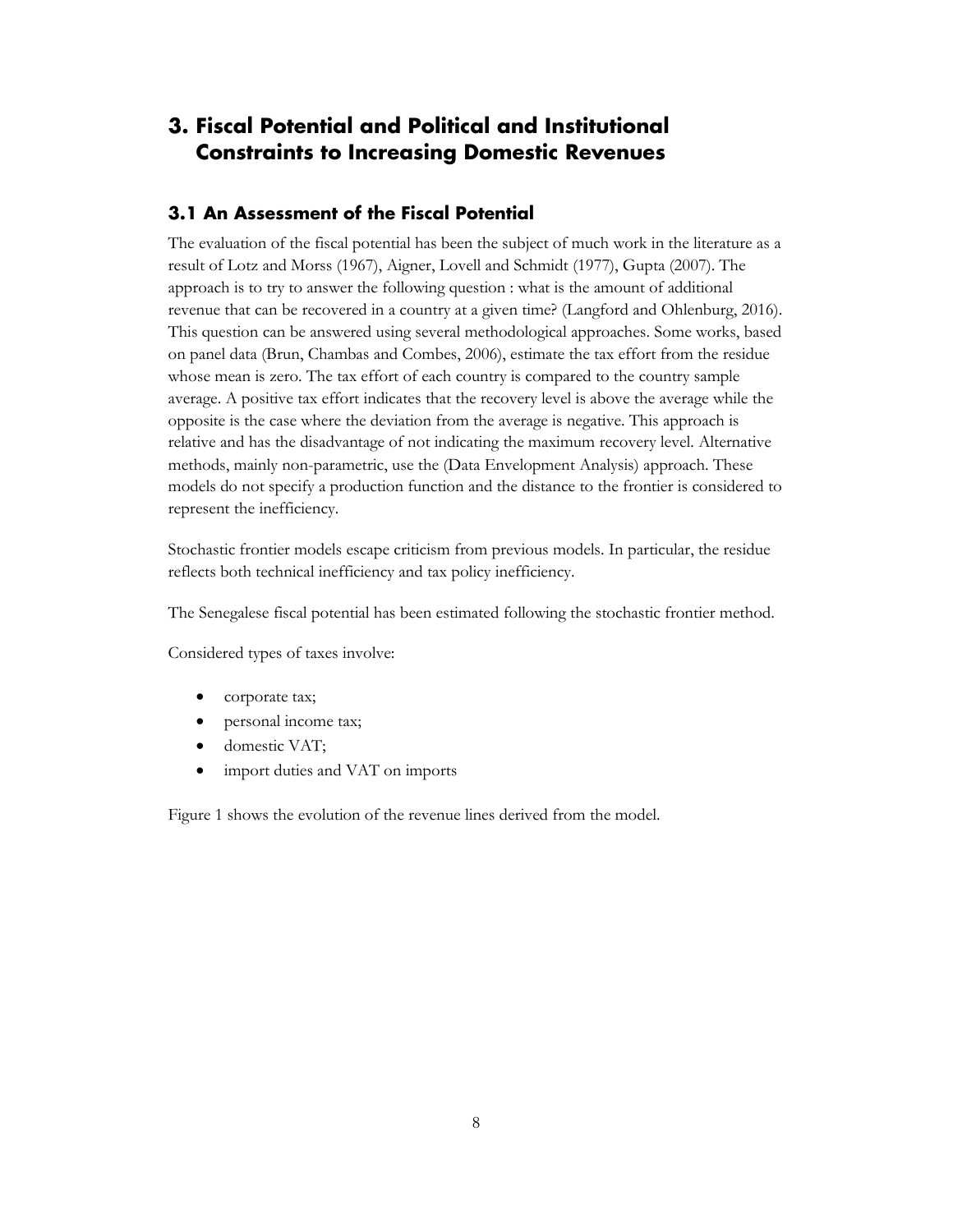## <span id="page-11-0"></span>**3. Fiscal Potential and Political and Institutional Constraints to Increasing Domestic Revenues**

#### <span id="page-11-1"></span>**3.1 An Assessment of the Fiscal Potential**

The evaluation of the fiscal potential has been the subject of much work in the literature as a result of Lotz and Morss (1967), Aigner, Lovell and Schmidt (1977), Gupta (2007). The approach is to try to answer the following question : what is the amount of additional revenue that can be recovered in a country at a given time? (Langford and Ohlenburg, 2016). This question can be answered using several methodological approaches. Some works, based on panel data (Brun, Chambas and Combes, 2006), estimate the tax effort from the residue whose mean is zero. The tax effort of each country is compared to the country sample average. A positive tax effort indicates that the recovery level is above the average while the opposite is the case where the deviation from the average is negative. This approach is relative and has the disadvantage of not indicating the maximum recovery level. Alternative methods, mainly non-parametric, use the (Data Envelopment Analysis) approach. These models do not specify a production function and the distance to the frontier is considered to represent the inefficiency.

Stochastic frontier models escape criticism from previous models. In particular, the residue reflects both technical inefficiency and tax policy inefficiency.

The Senegalese fiscal potential has been estimated following the stochastic frontier method.

Considered types of taxes involve:

- corporate tax;
- personal income tax;
- domestic VAT;
- import duties and VAT on imports

Figure 1 shows the evolution of the revenue lines derived from the model.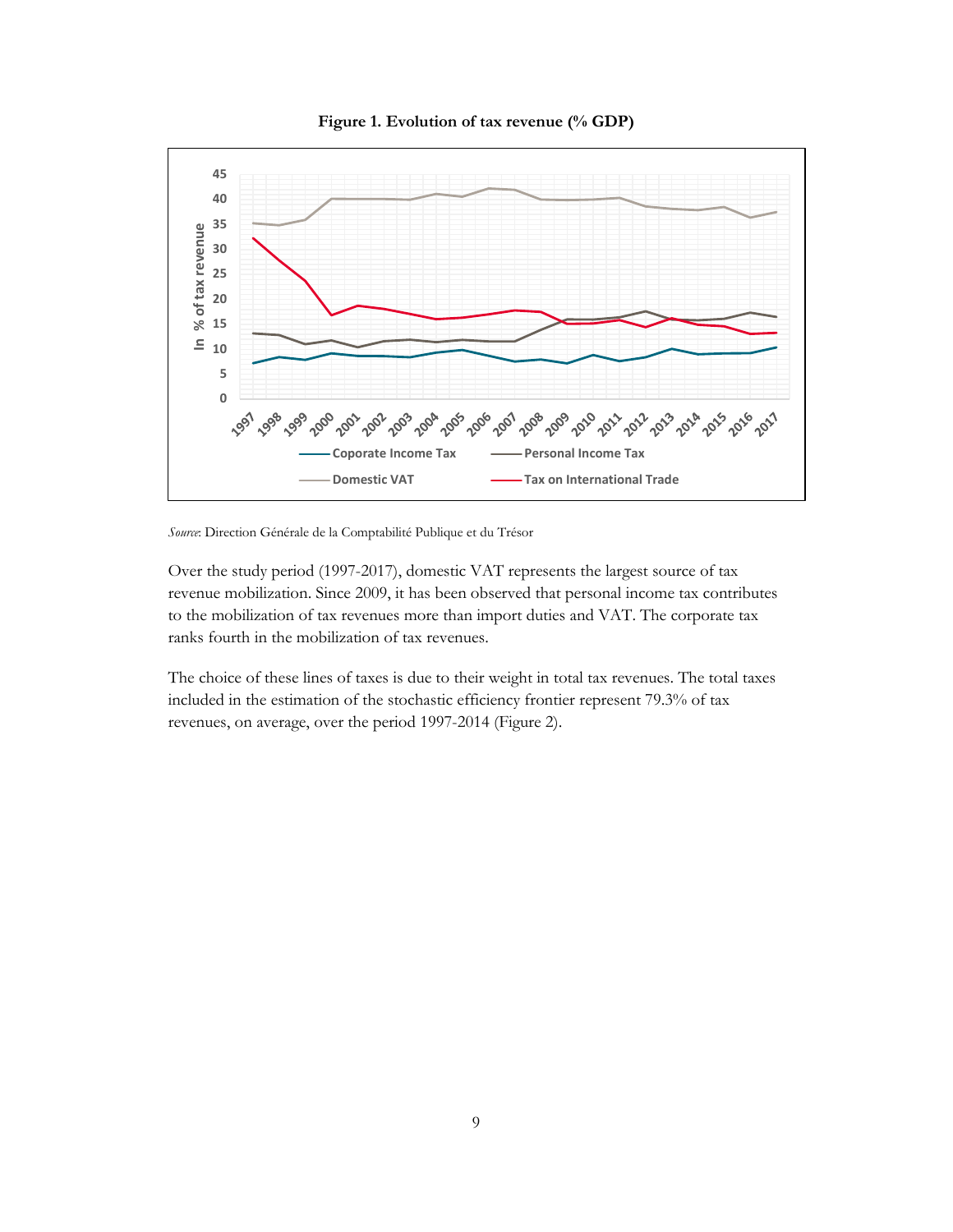



*Source*: Direction Générale de la Comptabilité Publique et du Trésor

Over the study period (1997-2017), domestic VAT represents the largest source of tax revenue mobilization. Since 2009, it has been observed that personal income tax contributes to the mobilization of tax revenues more than import duties and VAT. The corporate tax ranks fourth in the mobilization of tax revenues.

The choice of these lines of taxes is due to their weight in total tax revenues. The total taxes included in the estimation of the stochastic efficiency frontier represent 79.3% of tax revenues, on average, over the period 1997-2014 (Figure 2).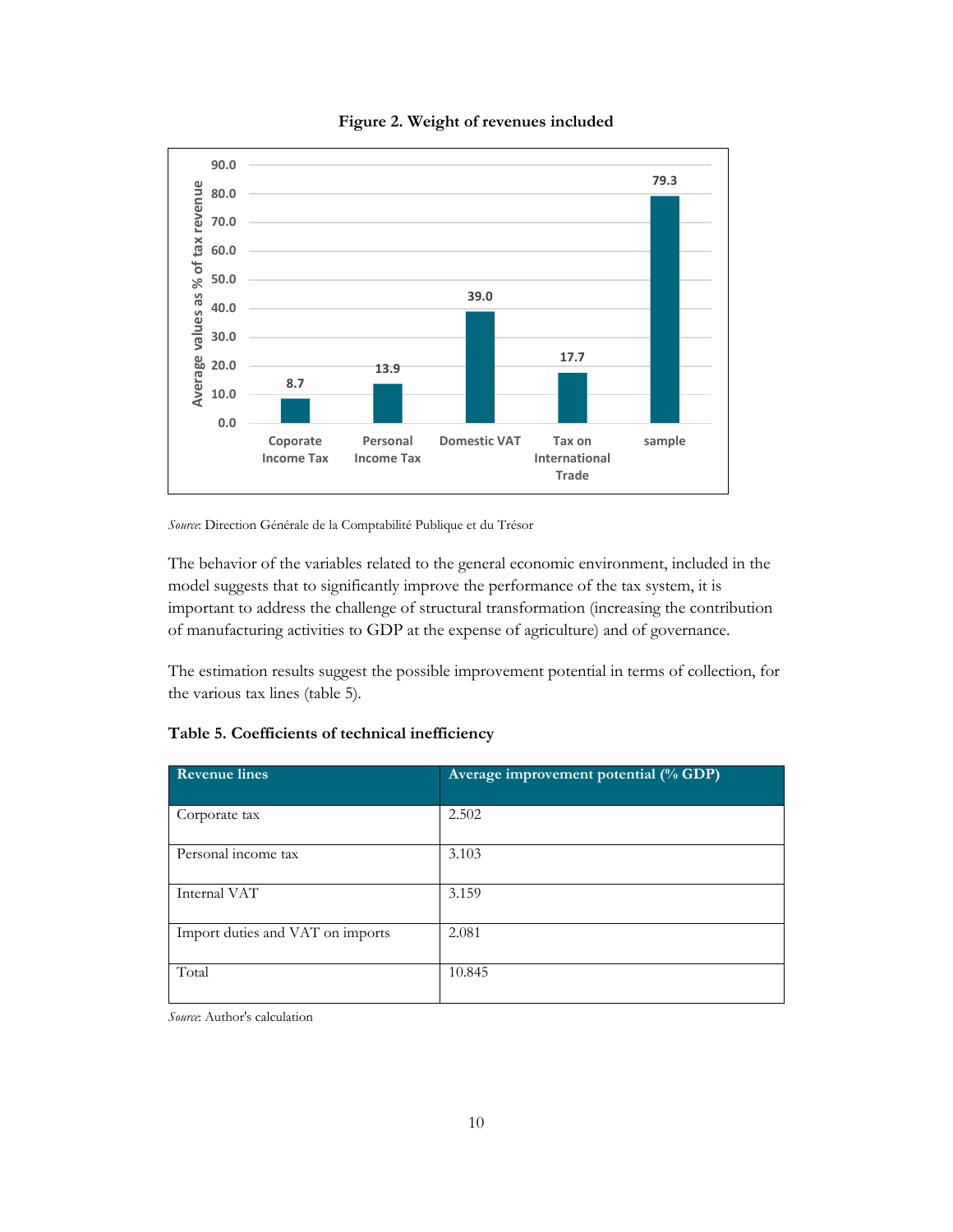

#### **Figure 2. Weight of revenues included**

*Source*: Direction Générale de la Comptabilité Publique et du Trésor

The behavior of the variables related to the general economic environment, included in the model suggests that to significantly improve the performance of the tax system, it is important to address the challenge of structural transformation (increasing the contribution of manufacturing activities to GDP at the expense of agriculture) and of governance.

The estimation results suggest the possible improvement potential in terms of collection, for the various tax lines (table 5).

| <b>Revenue lines</b>             | Average improvement potential (% GDP) |
|----------------------------------|---------------------------------------|
| Corporate tax                    | 2.502                                 |
| Personal income tax              | 3.103                                 |
| Internal VAT                     | 3.159                                 |
| Import duties and VAT on imports | 2.081                                 |
| Total                            | 10.845                                |

#### **Table 5. Coefficients of technical inefficiency**

*Source*: Author's calculation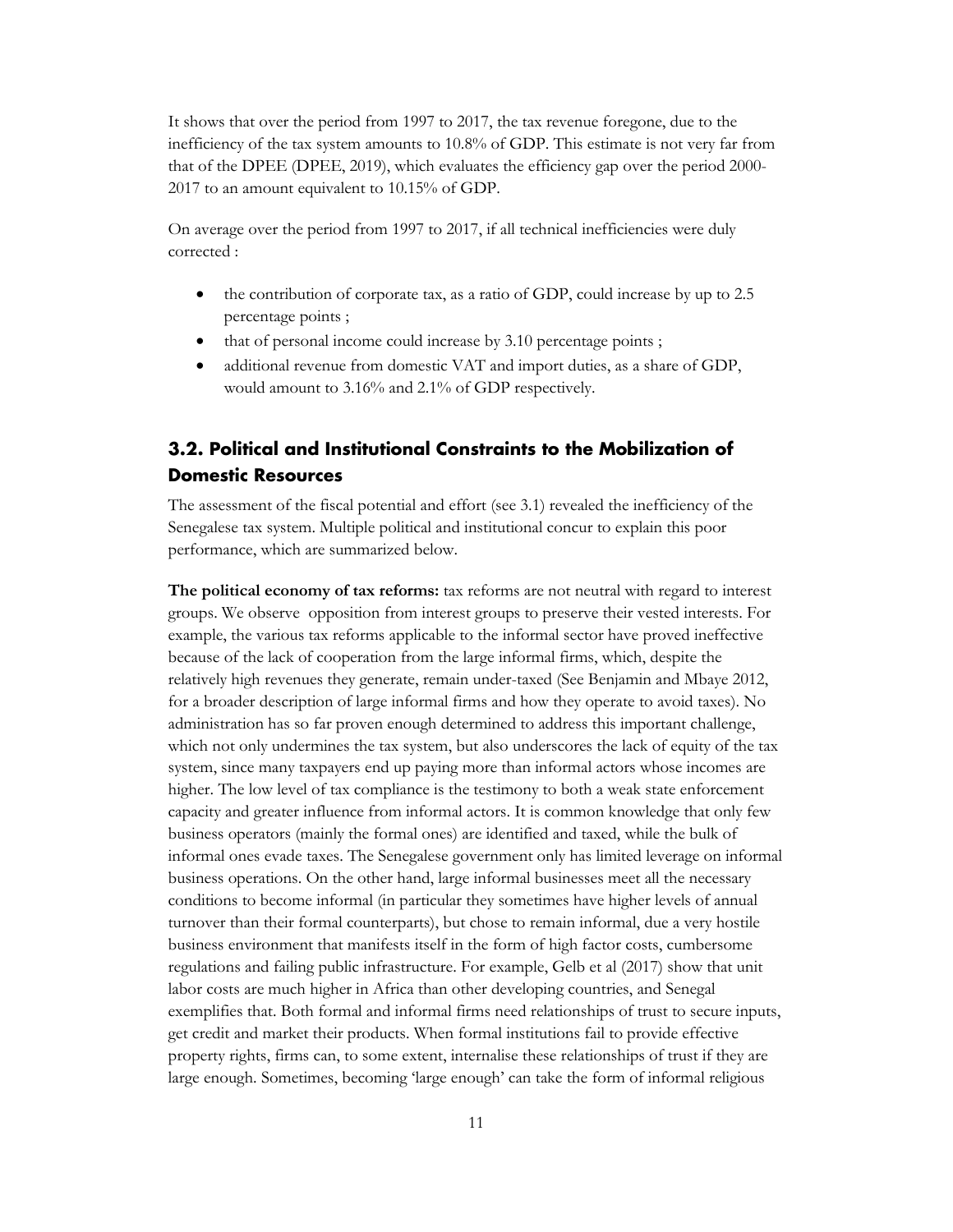It shows that over the period from 1997 to 2017, the tax revenue foregone, due to the inefficiency of the tax system amounts to 10.8% of GDP. This estimate is not very far from that of the DPEE (DPEE, 2019), which evaluates the efficiency gap over the period 2000- 2017 to an amount equivalent to 10.15% of GDP.

On average over the period from 1997 to 2017, if all technical inefficiencies were duly corrected :

- the contribution of corporate tax, as a ratio of GDP, could increase by up to 2.5 percentage points ;
- that of personal income could increase by 3.10 percentage points;
- additional revenue from domestic VAT and import duties, as a share of GDP, would amount to 3.16% and 2.1% of GDP respectively.

## <span id="page-14-0"></span>**3.2. Political and Institutional Constraints to the Mobilization of Domestic Resources**

The assessment of the fiscal potential and effort (see 3.1) revealed the inefficiency of the Senegalese tax system. Multiple political and institutional concur to explain this poor performance, which are summarized below.

**The political economy of tax reforms:** tax reforms are not neutral with regard to interest groups. We observe opposition from interest groups to preserve their vested interests. For example, the various tax reforms applicable to the informal sector have proved ineffective because of the lack of cooperation from the large informal firms, which, despite the relatively high revenues they generate, remain under-taxed (See Benjamin and Mbaye 2012, for a broader description of large informal firms and how they operate to avoid taxes). No administration has so far proven enough determined to address this important challenge, which not only undermines the tax system, but also underscores the lack of equity of the tax system, since many taxpayers end up paying more than informal actors whose incomes are higher. The low level of tax compliance is the testimony to both a weak state enforcement capacity and greater influence from informal actors. It is common knowledge that only few business operators (mainly the formal ones) are identified and taxed, while the bulk of informal ones evade taxes. The Senegalese government only has limited leverage on informal business operations. On the other hand, large informal businesses meet all the necessary conditions to become informal (in particular they sometimes have higher levels of annual turnover than their formal counterparts), but chose to remain informal, due a very hostile business environment that manifests itself in the form of high factor costs, cumbersome regulations and failing public infrastructure. For example, Gelb et al (2017) show that unit labor costs are much higher in Africa than other developing countries, and Senegal exemplifies that. Both formal and informal firms need relationships of trust to secure inputs, get credit and market their products. When formal institutions fail to provide effective property rights, firms can, to some extent, internalise these relationships of trust if they are large enough. Sometimes, becoming 'large enough' can take the form of informal religious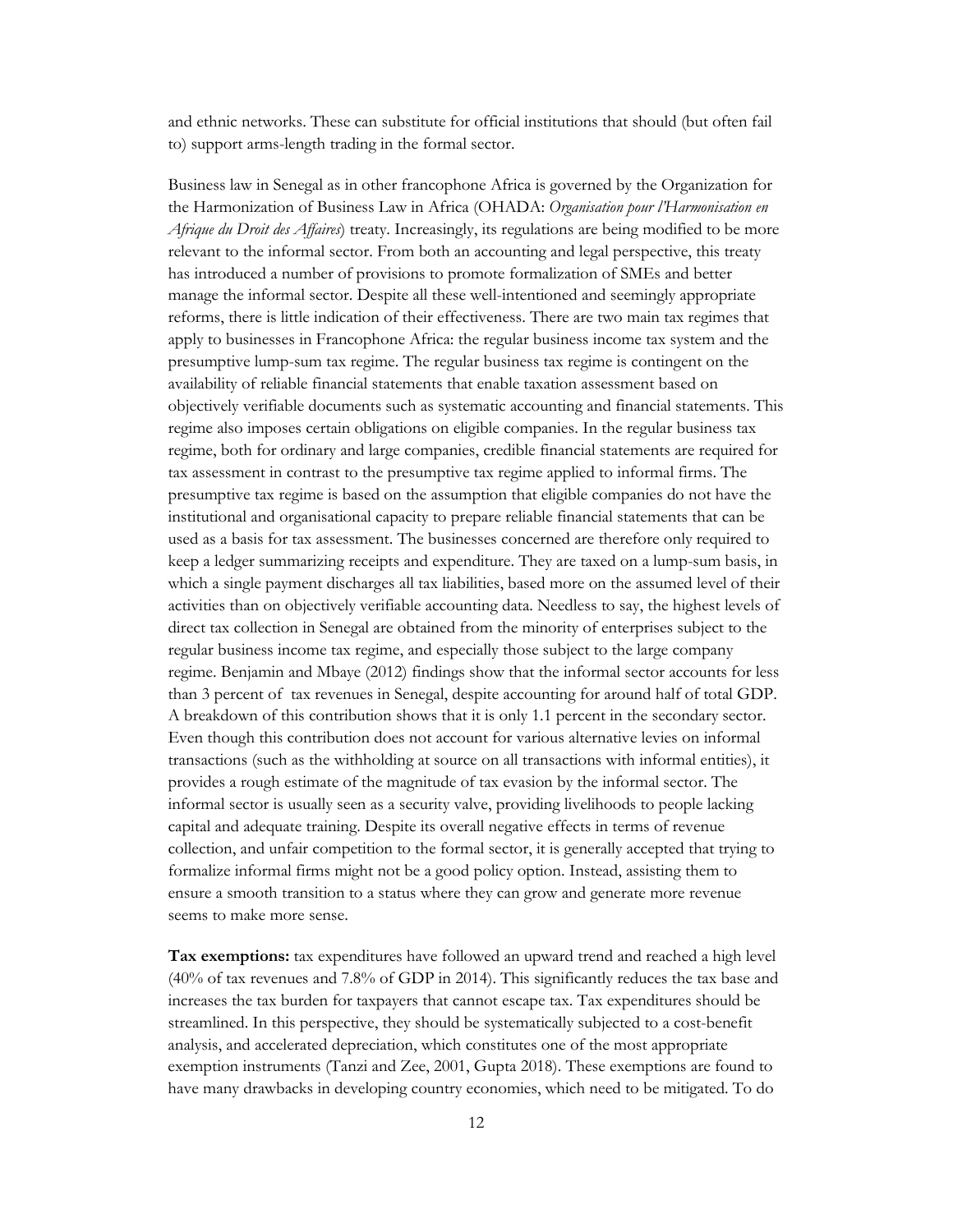and ethnic networks. These can substitute for official institutions that should (but often fail to) support arms-length trading in the formal sector.

Business law in Senegal as in other francophone Africa is governed by the Organization for the Harmonization of Business Law in Africa (OHADA: *Organisation pour l'Harmonisation en Afrique du Droit des Affaires*) treaty. Increasingly, its regulations are being modified to be more relevant to the informal sector. From both an accounting and legal perspective, this treaty has introduced a number of provisions to promote formalization of SMEs and better manage the informal sector. Despite all these well-intentioned and seemingly appropriate reforms, there is little indication of their effectiveness. There are two main tax regimes that apply to businesses in Francophone Africa: the regular business income tax system and the presumptive lump-sum tax regime. The regular business tax regime is contingent on the availability of reliable financial statements that enable taxation assessment based on objectively verifiable documents such as systematic accounting and financial statements. This regime also imposes certain obligations on eligible companies. In the regular business tax regime, both for ordinary and large companies, credible financial statements are required for tax assessment in contrast to the presumptive tax regime applied to informal firms. The presumptive tax regime is based on the assumption that eligible companies do not have the institutional and organisational capacity to prepare reliable financial statements that can be used as a basis for tax assessment. The businesses concerned are therefore only required to keep a ledger summarizing receipts and expenditure. They are taxed on a lump-sum basis, in which a single payment discharges all tax liabilities, based more on the assumed level of their activities than on objectively verifiable accounting data. Needless to say, the highest levels of direct tax collection in Senegal are obtained from the minority of enterprises subject to the regular business income tax regime, and especially those subject to the large company regime. Benjamin and Mbaye (2012) findings show that the informal sector accounts for less than 3 percent of tax revenues in Senegal, despite accounting for around half of total GDP. A breakdown of this contribution shows that it is only 1.1 percent in the secondary sector. Even though this contribution does not account for various alternative levies on informal transactions (such as the withholding at source on all transactions with informal entities), it provides a rough estimate of the magnitude of tax evasion by the informal sector. The informal sector is usually seen as a security valve, providing livelihoods to people lacking capital and adequate training. Despite its overall negative effects in terms of revenue collection, and unfair competition to the formal sector, it is generally accepted that trying to formalize informal firms might not be a good policy option. Instead, assisting them to ensure a smooth transition to a status where they can grow and generate more revenue seems to make more sense.

**Tax exemptions:** tax expenditures have followed an upward trend and reached a high level (40% of tax revenues and 7.8% of GDP in 2014). This significantly reduces the tax base and increases the tax burden for taxpayers that cannot escape tax. Tax expenditures should be streamlined. In this perspective, they should be systematically subjected to a cost-benefit analysis, and accelerated depreciation, which constitutes one of the most appropriate exemption instruments (Tanzi and Zee, 2001, Gupta 2018). These exemptions are found to have many drawbacks in developing country economies, which need to be mitigated. To do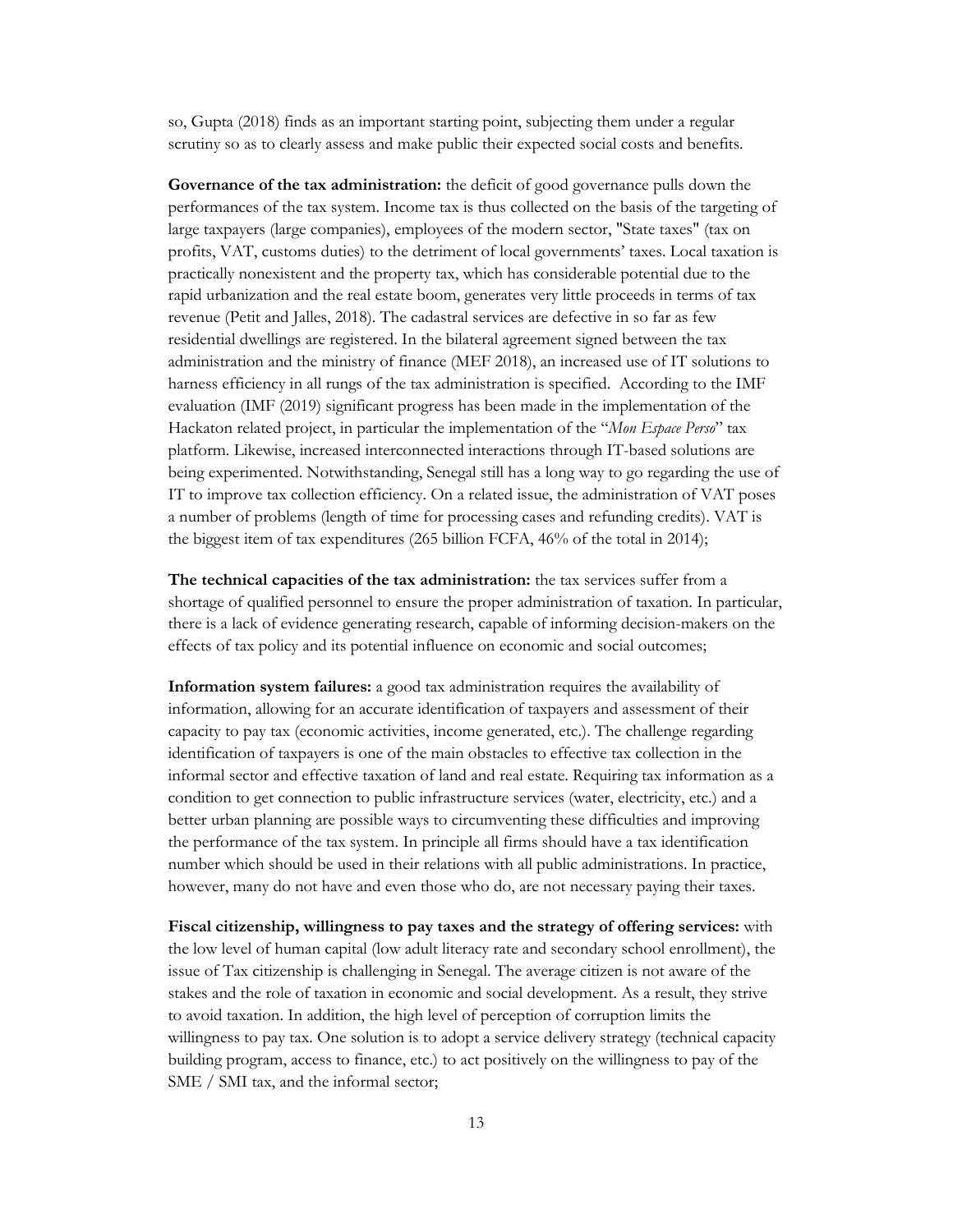so, Gupta (2018) finds as an important starting point, subjecting them under a regular scrutiny so as to clearly assess and make public their expected social costs and benefits.

**Governance of the tax administration:** the deficit of good governance pulls down the performances of the tax system. Income tax is thus collected on the basis of the targeting of large taxpayers (large companies), employees of the modern sector, "State taxes" (tax on profits, VAT, customs duties) to the detriment of local governments' taxes. Local taxation is practically nonexistent and the property tax, which has considerable potential due to the rapid urbanization and the real estate boom, generates very little proceeds in terms of tax revenue (Petit and Jalles, 2018). The cadastral services are defective in so far as few residential dwellings are registered. In the bilateral agreement signed between the tax administration and the ministry of finance (MEF 2018), an increased use of IT solutions to harness efficiency in all rungs of the tax administration is specified. According to the IMF evaluation (IMF (2019) significant progress has been made in the implementation of the Hackaton related project, in particular the implementation of the "*Mon Espace Perso*" tax platform. Likewise, increased interconnected interactions through IT-based solutions are being experimented. Notwithstanding, Senegal still has a long way to go regarding the use of IT to improve tax collection efficiency. On a related issue, the administration of VAT poses a number of problems (length of time for processing cases and refunding credits). VAT is the biggest item of tax expenditures (265 billion FCFA, 46% of the total in 2014);

**The technical capacities of the tax administration:** the tax services suffer from a shortage of qualified personnel to ensure the proper administration of taxation. In particular, there is a lack of evidence generating research, capable of informing decision-makers on the effects of tax policy and its potential influence on economic and social outcomes;

**Information system failures:** a good tax administration requires the availability of information, allowing for an accurate identification of taxpayers and assessment of their capacity to pay tax (economic activities, income generated, etc.). The challenge regarding identification of taxpayers is one of the main obstacles to effective tax collection in the informal sector and effective taxation of land and real estate. Requiring tax information as a condition to get connection to public infrastructure services (water, electricity, etc.) and a better urban planning are possible ways to circumventing these difficulties and improving the performance of the tax system. In principle all firms should have a tax identification number which should be used in their relations with all public administrations. In practice, however, many do not have and even those who do, are not necessary paying their taxes.

**Fiscal citizenship, willingness to pay taxes and the strategy of offering services:** with the low level of human capital (low adult literacy rate and secondary school enrollment), the issue of Tax citizenship is challenging in Senegal. The average citizen is not aware of the stakes and the role of taxation in economic and social development. As a result, they strive to avoid taxation. In addition, the high level of perception of corruption limits the willingness to pay tax. One solution is to adopt a service delivery strategy (technical capacity building program, access to finance, etc.) to act positively on the willingness to pay of the SME / SMI tax, and the informal sector;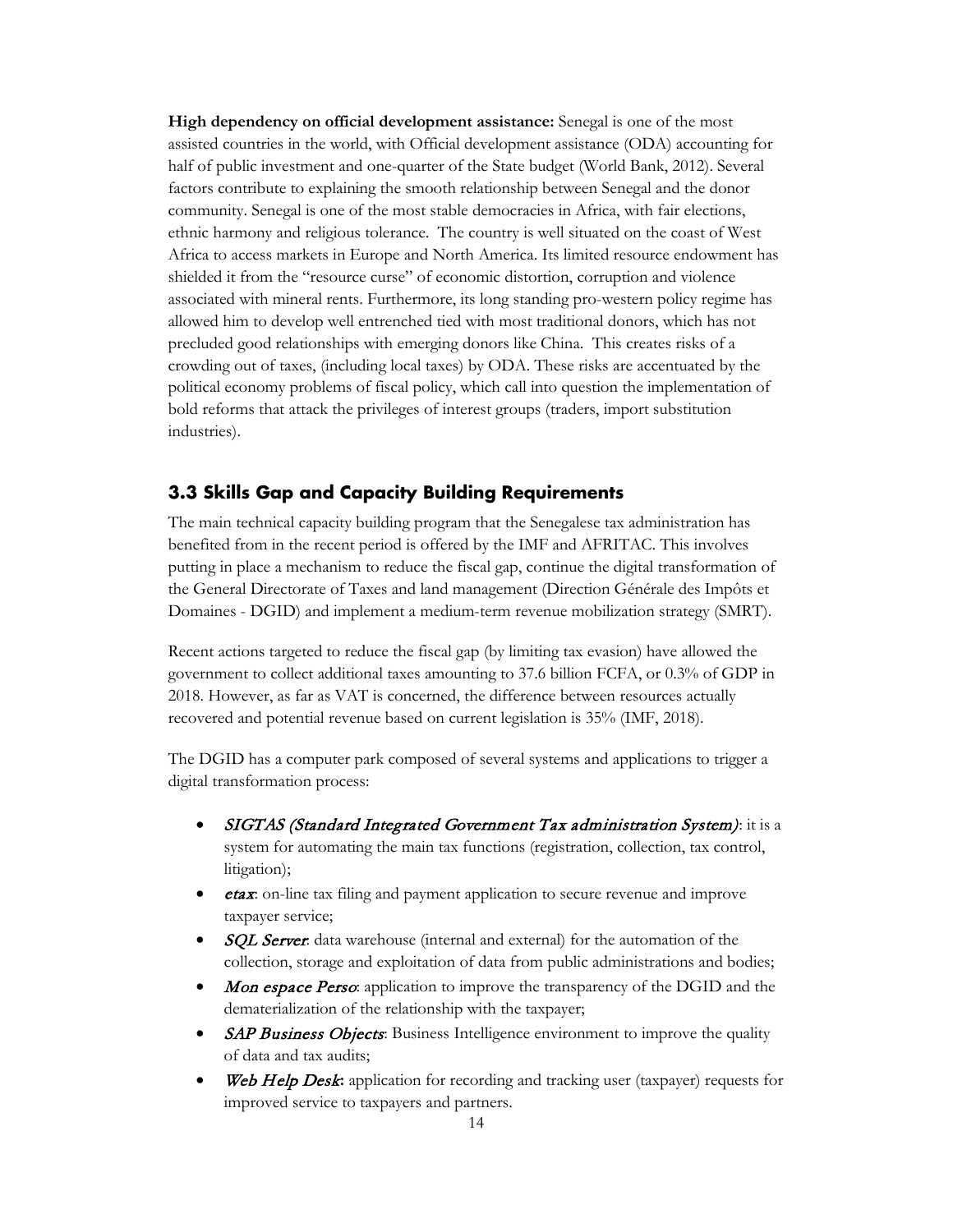**High dependency on official development assistance:** Senegal is one of the most assisted countries in the world, with Official development assistance (ODA) accounting for half of public investment and one-quarter of the State budget (World Bank, 2012). Several factors contribute to explaining the smooth relationship between Senegal and the donor community. Senegal is one of the most stable democracies in Africa, with fair elections, ethnic harmony and religious tolerance. The country is well situated on the coast of West Africa to access markets in Europe and North America. Its limited resource endowment has shielded it from the "resource curse" of economic distortion, corruption and violence associated with mineral rents. Furthermore, its long standing pro-western policy regime has allowed him to develop well entrenched tied with most traditional donors, which has not precluded good relationships with emerging donors like China. This creates risks of a crowding out of taxes, (including local taxes) by ODA. These risks are accentuated by the political economy problems of fiscal policy, which call into question the implementation of bold reforms that attack the privileges of interest groups (traders, import substitution industries).

#### <span id="page-17-0"></span>**3.3 Skills Gap and Capacity Building Requirements**

The main technical capacity building program that the Senegalese tax administration has benefited from in the recent period is offered by the IMF and AFRITAC. This involves putting in place a mechanism to reduce the fiscal gap, continue the digital transformation of the General Directorate of Taxes and land management (Direction Générale des Impôts et Domaines - DGID) and implement a medium-term revenue mobilization strategy (SMRT).

Recent actions targeted to reduce the fiscal gap (by limiting tax evasion) have allowed the government to collect additional taxes amounting to 37.6 billion FCFA, or 0.3% of GDP in 2018. However, as far as VAT is concerned, the difference between resources actually recovered and potential revenue based on current legislation is 35% (IMF, 2018).

The DGID has a computer park composed of several systems and applications to trigger a digital transformation process:

- SIGTAS (Standard Integrated Government Tax administration System): it is a system for automating the main tax functions (registration, collection, tax control, litigation);
- *etax*: on-line tax filing and payment application to secure revenue and improve taxpayer service;
- SQL Server: data warehouse (internal and external) for the automation of the collection, storage and exploitation of data from public administrations and bodies;
- Mon espace Perso: application to improve the transparency of the DGID and the dematerialization of the relationship with the taxpayer;
- **SAP Business Objects:** Business Intelligence environment to improve the quality of data and tax audits;
- Web Help Desk: application for recording and tracking user (taxpayer) requests for improved service to taxpayers and partners.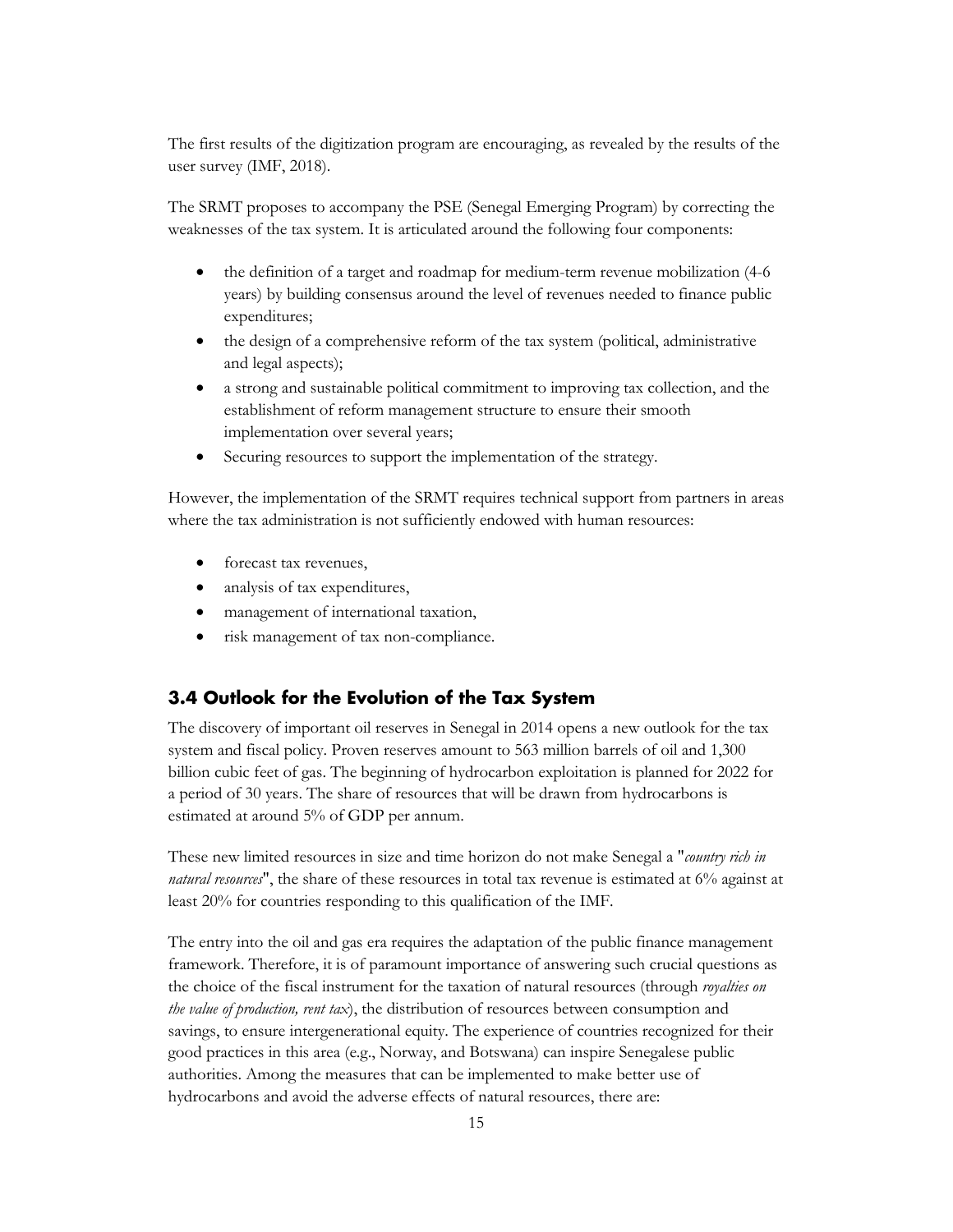The first results of the digitization program are encouraging, as revealed by the results of the user survey (IMF, 2018).

The SRMT proposes to accompany the PSE (Senegal Emerging Program) by correcting the weaknesses of the tax system. It is articulated around the following four components:

- the definition of a target and roadmap for medium-term revenue mobilization (4-6 years) by building consensus around the level of revenues needed to finance public expenditures;
- the design of a comprehensive reform of the tax system (political, administrative and legal aspects);
- a strong and sustainable political commitment to improving tax collection, and the establishment of reform management structure to ensure their smooth implementation over several years;
- Securing resources to support the implementation of the strategy.

However, the implementation of the SRMT requires technical support from partners in areas where the tax administration is not sufficiently endowed with human resources:

- forecast tax revenues,
- analysis of tax expenditures,
- management of international taxation,
- <span id="page-18-0"></span>• risk management of tax non-compliance.

#### **3.4 Outlook for the Evolution of the Tax System**

The discovery of important oil reserves in Senegal in 2014 opens a new outlook for the tax system and fiscal policy. Proven reserves amount to 563 million barrels of oil and 1,300 billion cubic feet of gas. The beginning of hydrocarbon exploitation is planned for 2022 for a period of 30 years. The share of resources that will be drawn from hydrocarbons is estimated at around 5% of GDP per annum.

These new limited resources in size and time horizon do not make Senegal a "*country rich in natural resources*", the share of these resources in total tax revenue is estimated at 6% against at least 20% for countries responding to this qualification of the IMF.

The entry into the oil and gas era requires the adaptation of the public finance management framework. Therefore, it is of paramount importance of answering such crucial questions as the choice of the fiscal instrument for the taxation of natural resources (through *royalties on the value of production, rent tax*), the distribution of resources between consumption and savings, to ensure intergenerational equity. The experience of countries recognized for their good practices in this area (e.g., Norway, and Botswana) can inspire Senegalese public authorities. Among the measures that can be implemented to make better use of hydrocarbons and avoid the adverse effects of natural resources, there are: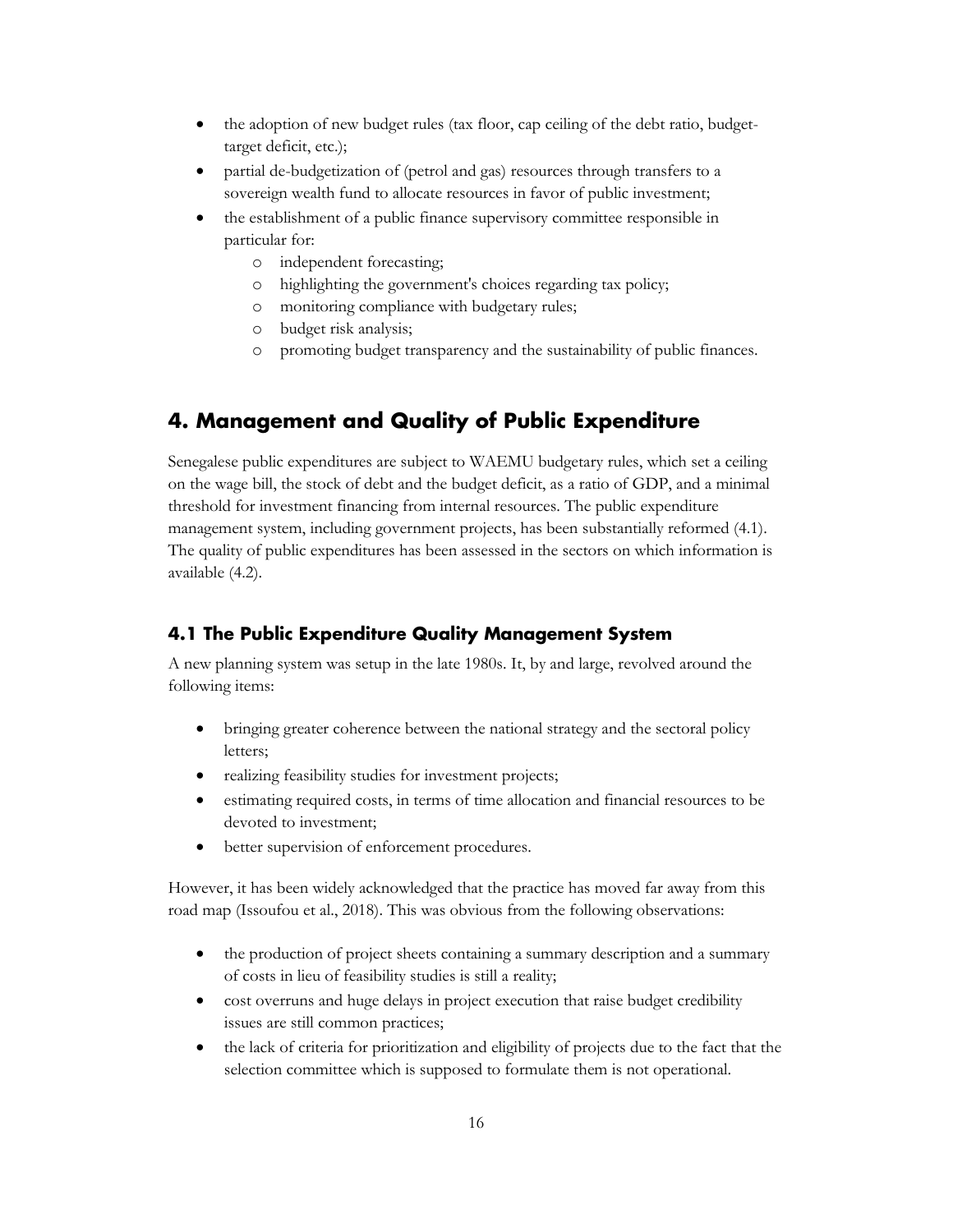- the adoption of new budget rules (tax floor, cap ceiling of the debt ratio, budgettarget deficit, etc.);
- partial de-budgetization of (petrol and gas) resources through transfers to a sovereign wealth fund to allocate resources in favor of public investment;
- the establishment of a public finance supervisory committee responsible in particular for:
	- o independent forecasting;
	- o highlighting the government's choices regarding tax policy;
	- o monitoring compliance with budgetary rules;
	- o budget risk analysis;
	- o promoting budget transparency and the sustainability of public finances.

## <span id="page-19-0"></span>**4. Management and Quality of Public Expenditure**

Senegalese public expenditures are subject to WAEMU budgetary rules, which set a ceiling on the wage bill, the stock of debt and the budget deficit, as a ratio of GDP, and a minimal threshold for investment financing from internal resources. The public expenditure management system, including government projects, has been substantially reformed (4.1). The quality of public expenditures has been assessed in the sectors on which information is available (4.2).

#### <span id="page-19-1"></span>**4.1 The Public Expenditure Quality Management System**

A new planning system was setup in the late 1980s. It, by and large, revolved around the following items:

- bringing greater coherence between the national strategy and the sectoral policy letters;
- realizing feasibility studies for investment projects;
- estimating required costs, in terms of time allocation and financial resources to be devoted to investment;
- better supervision of enforcement procedures.

However, it has been widely acknowledged that the practice has moved far away from this road map (Issoufou et al., 2018). This was obvious from the following observations:

- the production of project sheets containing a summary description and a summary of costs in lieu of feasibility studies is still a reality;
- cost overruns and huge delays in project execution that raise budget credibility issues are still common practices;
- the lack of criteria for prioritization and eligibility of projects due to the fact that the selection committee which is supposed to formulate them is not operational.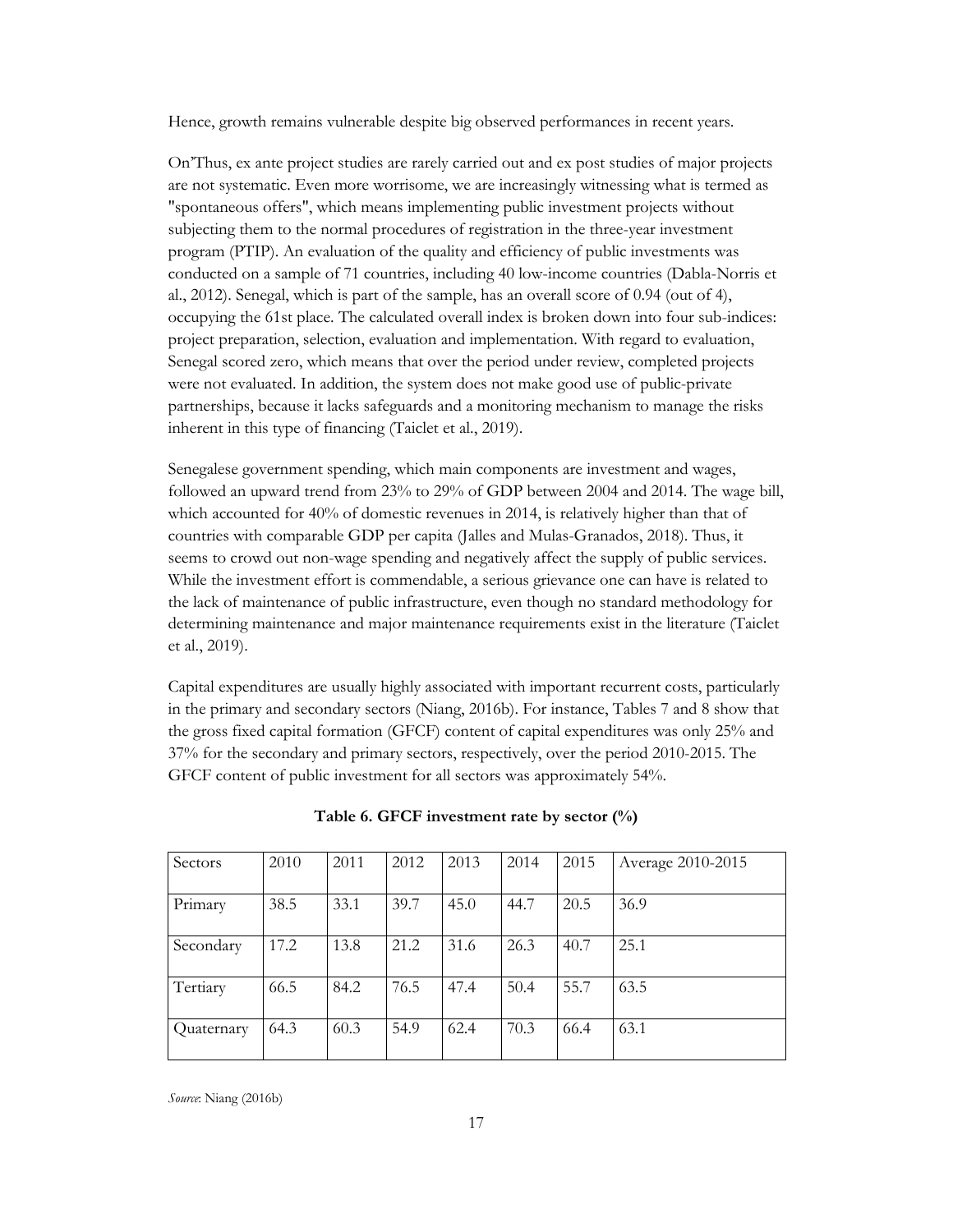Hence, growth remains vulnerable despite big observed performances in recent years.

On'Thus, ex ante project studies are rarely carried out and ex post studies of major projects are not systematic. Even more worrisome, we are increasingly witnessing what is termed as "spontaneous offers", which means implementing public investment projects without subjecting them to the normal procedures of registration in the three-year investment program (PTIP). An evaluation of the quality and efficiency of public investments was conducted on a sample of 71 countries, including 40 low-income countries (Dabla-Norris et al., 2012). Senegal, which is part of the sample, has an overall score of 0.94 (out of 4), occupying the 61st place. The calculated overall index is broken down into four sub-indices: project preparation, selection, evaluation and implementation. With regard to evaluation, Senegal scored zero, which means that over the period under review, completed projects were not evaluated. In addition, the system does not make good use of public-private partnerships, because it lacks safeguards and a monitoring mechanism to manage the risks inherent in this type of financing (Taiclet et al., 2019).

Senegalese government spending, which main components are investment and wages, followed an upward trend from 23% to 29% of GDP between 2004 and 2014. The wage bill, which accounted for 40% of domestic revenues in 2014, is relatively higher than that of countries with comparable GDP per capita (Jalles and Mulas-Granados, 2018). Thus, it seems to crowd out non-wage spending and negatively affect the supply of public services. While the investment effort is commendable, a serious grievance one can have is related to the lack of maintenance of public infrastructure, even though no standard methodology for determining maintenance and major maintenance requirements exist in the literature (Taiclet et al., 2019).

Capital expenditures are usually highly associated with important recurrent costs, particularly in the primary and secondary sectors (Niang, 2016b). For instance, Tables 7 and 8 show that the gross fixed capital formation (GFCF) content of capital expenditures was only 25% and 37% for the secondary and primary sectors, respectively, over the period 2010-2015. The GFCF content of public investment for all sectors was approximately 54%.

| Sectors    | 2010 | 2011 | 2012 | 2013 | 2014 | 2015 | Average 2010-2015 |
|------------|------|------|------|------|------|------|-------------------|
| Primary    | 38.5 | 33.1 | 39.7 | 45.0 | 44.7 | 20.5 | 36.9              |
| Secondary  | 17.2 | 13.8 | 21.2 | 31.6 | 26.3 | 40.7 | 25.1              |
|            |      |      |      |      |      |      |                   |
| Tertiary   | 66.5 | 84.2 | 76.5 | 47.4 | 50.4 | 55.7 | 63.5              |
| Quaternary | 64.3 | 60.3 | 54.9 | 62.4 | 70.3 | 66.4 | 63.1              |

**Table 6. GFCF investment rate by sector (%)**

*Source*: Niang (2016b)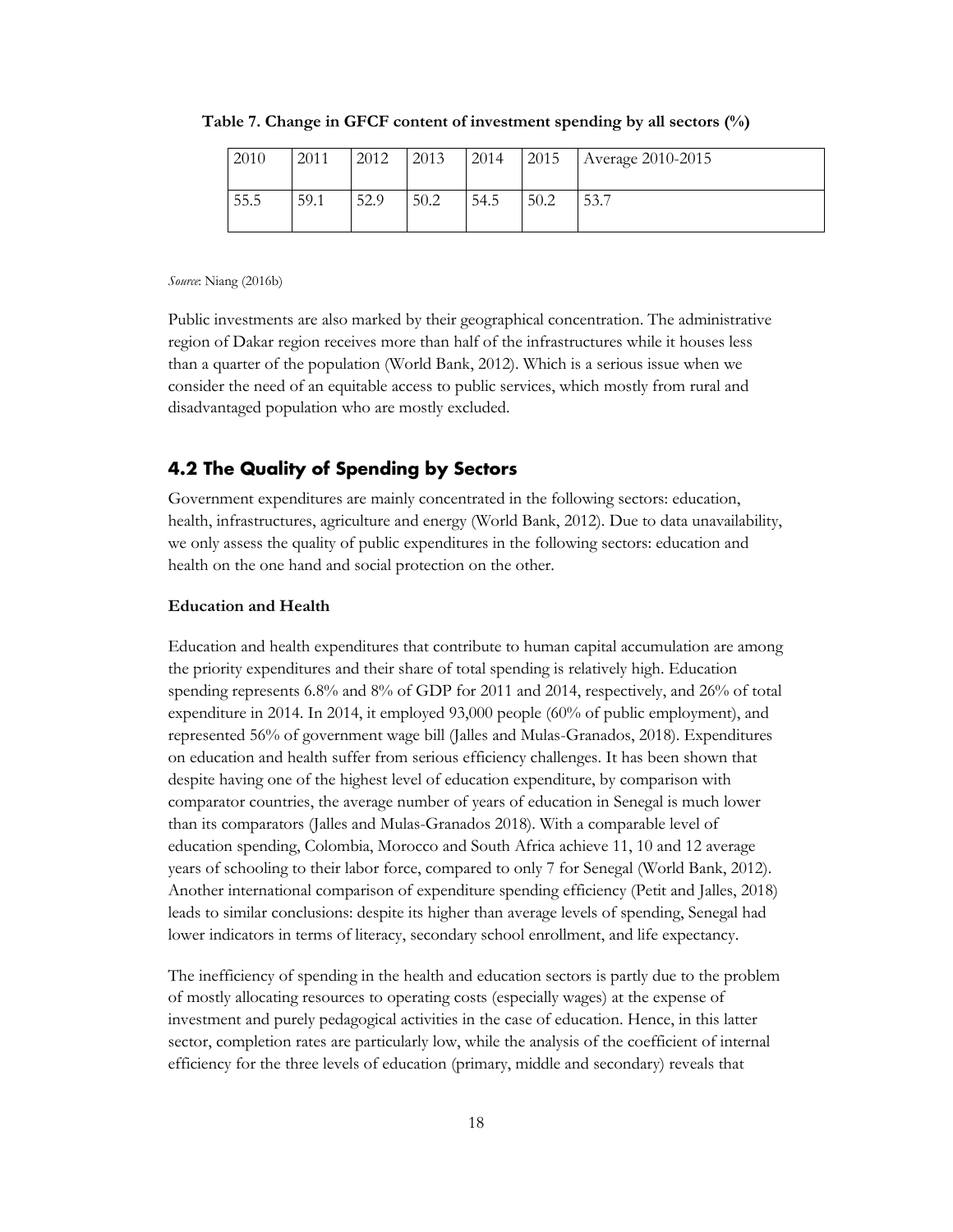| 2010 | 2011 | 2012 | 2013 | 2014 | 2015 | 1 Average 2010-2015 |
|------|------|------|------|------|------|---------------------|
| 55.5 | 59.1 | 52.9 | 50.2 | 54.5 | 50.2 | 53.7                |

**Table 7. Change in GFCF content of investment spending by all sectors (%)**

*Source*: Niang (2016b)

Public investments are also marked by their geographical concentration. The administrative region of Dakar region receives more than half of the infrastructures while it houses less than a quarter of the population (World Bank, 2012). Which is a serious issue when we consider the need of an equitable access to public services, which mostly from rural and disadvantaged population who are mostly excluded.

#### <span id="page-21-0"></span>**4.2 The Quality of Spending by Sectors**

Government expenditures are mainly concentrated in the following sectors: education, health, infrastructures, agriculture and energy (World Bank, 2012). Due to data unavailability, we only assess the quality of public expenditures in the following sectors: education and health on the one hand and social protection on the other.

#### **Education and Health**

Education and health expenditures that contribute to human capital accumulation are among the priority expenditures and their share of total spending is relatively high. Education spending represents 6.8% and 8% of GDP for 2011 and 2014, respectively, and 26% of total expenditure in 2014. In 2014, it employed 93,000 people (60% of public employment), and represented 56% of government wage bill (Jalles and Mulas-Granados, 2018). Expenditures on education and health suffer from serious efficiency challenges. It has been shown that despite having one of the highest level of education expenditure, by comparison with comparator countries, the average number of years of education in Senegal is much lower than its comparators (Jalles and Mulas-Granados 2018). With a comparable level of education spending, Colombia, Morocco and South Africa achieve 11, 10 and 12 average years of schooling to their labor force, compared to only 7 for Senegal (World Bank, 2012). Another international comparison of expenditure spending efficiency (Petit and Jalles, 2018) leads to similar conclusions: despite its higher than average levels of spending, Senegal had lower indicators in terms of literacy, secondary school enrollment, and life expectancy.

The inefficiency of spending in the health and education sectors is partly due to the problem of mostly allocating resources to operating costs (especially wages) at the expense of investment and purely pedagogical activities in the case of education. Hence, in this latter sector, completion rates are particularly low, while the analysis of the coefficient of internal efficiency for the three levels of education (primary, middle and secondary) reveals that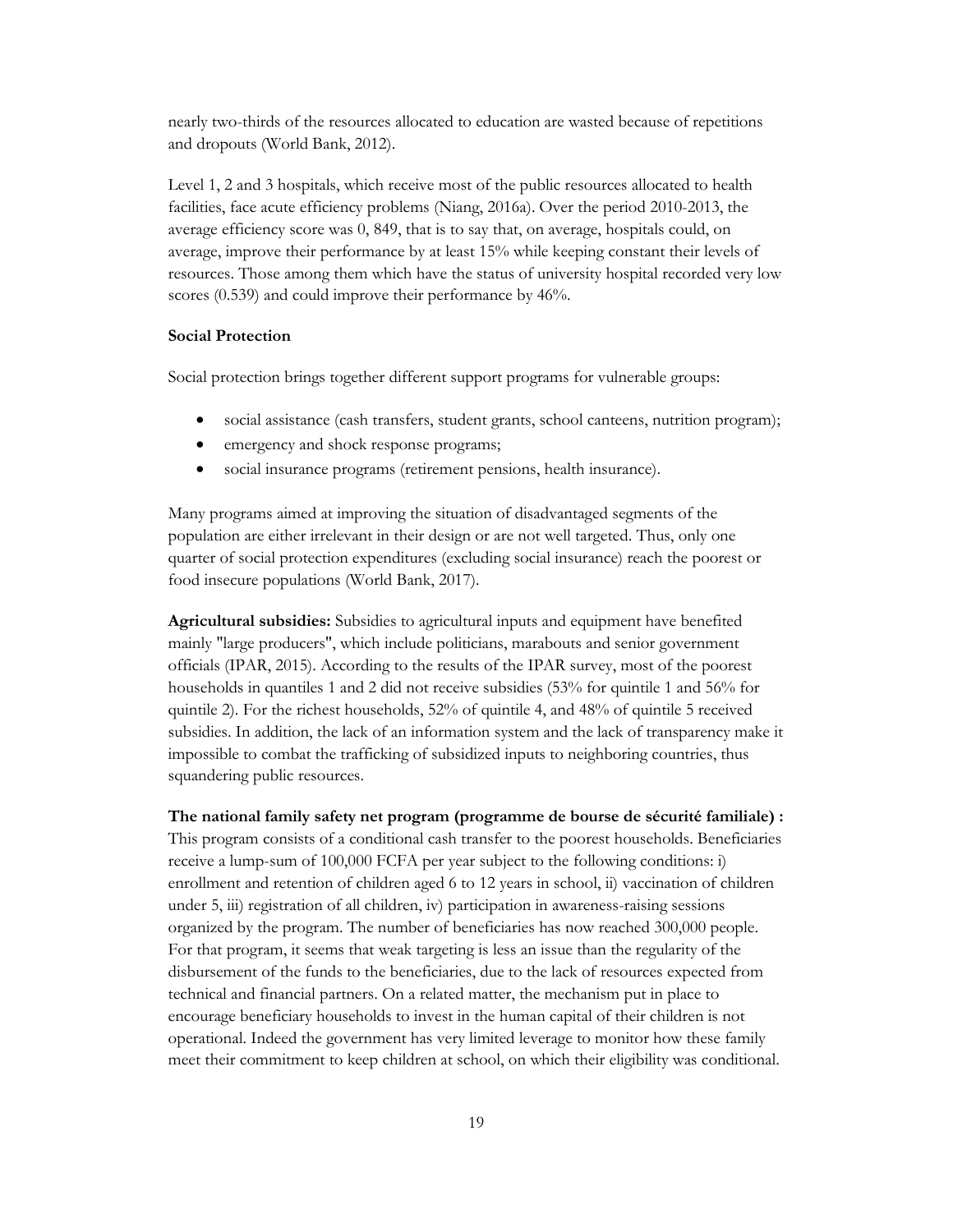nearly two-thirds of the resources allocated to education are wasted because of repetitions and dropouts (World Bank, 2012).

Level 1, 2 and 3 hospitals, which receive most of the public resources allocated to health facilities, face acute efficiency problems (Niang, 2016a). Over the period 2010-2013, the average efficiency score was 0, 849, that is to say that, on average, hospitals could, on average, improve their performance by at least 15% while keeping constant their levels of resources. Those among them which have the status of university hospital recorded very low scores (0.539) and could improve their performance by 46%.

#### **Social Protection**

Social protection brings together different support programs for vulnerable groups:

- social assistance (cash transfers, student grants, school canteens, nutrition program);
- emergency and shock response programs;
- social insurance programs (retirement pensions, health insurance).

Many programs aimed at improving the situation of disadvantaged segments of the population are either irrelevant in their design or are not well targeted. Thus, only one quarter of social protection expenditures (excluding social insurance) reach the poorest or food insecure populations (World Bank, 2017).

**Agricultural subsidies:** Subsidies to agricultural inputs and equipment have benefited mainly "large producers", which include politicians, marabouts and senior government officials (IPAR, 2015). According to the results of the IPAR survey, most of the poorest households in quantiles 1 and 2 did not receive subsidies (53% for quintile 1 and 56% for quintile 2). For the richest households, 52% of quintile 4, and 48% of quintile 5 received subsidies. In addition, the lack of an information system and the lack of transparency make it impossible to combat the trafficking of subsidized inputs to neighboring countries, thus squandering public resources.

**The national family safety net program (programme de bourse de sécurité familiale) :**  This program consists of a conditional cash transfer to the poorest households. Beneficiaries receive a lump-sum of 100,000 FCFA per year subject to the following conditions: i) enrollment and retention of children aged 6 to 12 years in school, ii) vaccination of children under 5, iii) registration of all children, iv) participation in awareness-raising sessions organized by the program. The number of beneficiaries has now reached 300,000 people. For that program, it seems that weak targeting is less an issue than the regularity of the disbursement of the funds to the beneficiaries, due to the lack of resources expected from technical and financial partners. On a related matter, the mechanism put in place to encourage beneficiary households to invest in the human capital of their children is not operational. Indeed the government has very limited leverage to monitor how these family meet their commitment to keep children at school, on which their eligibility was conditional.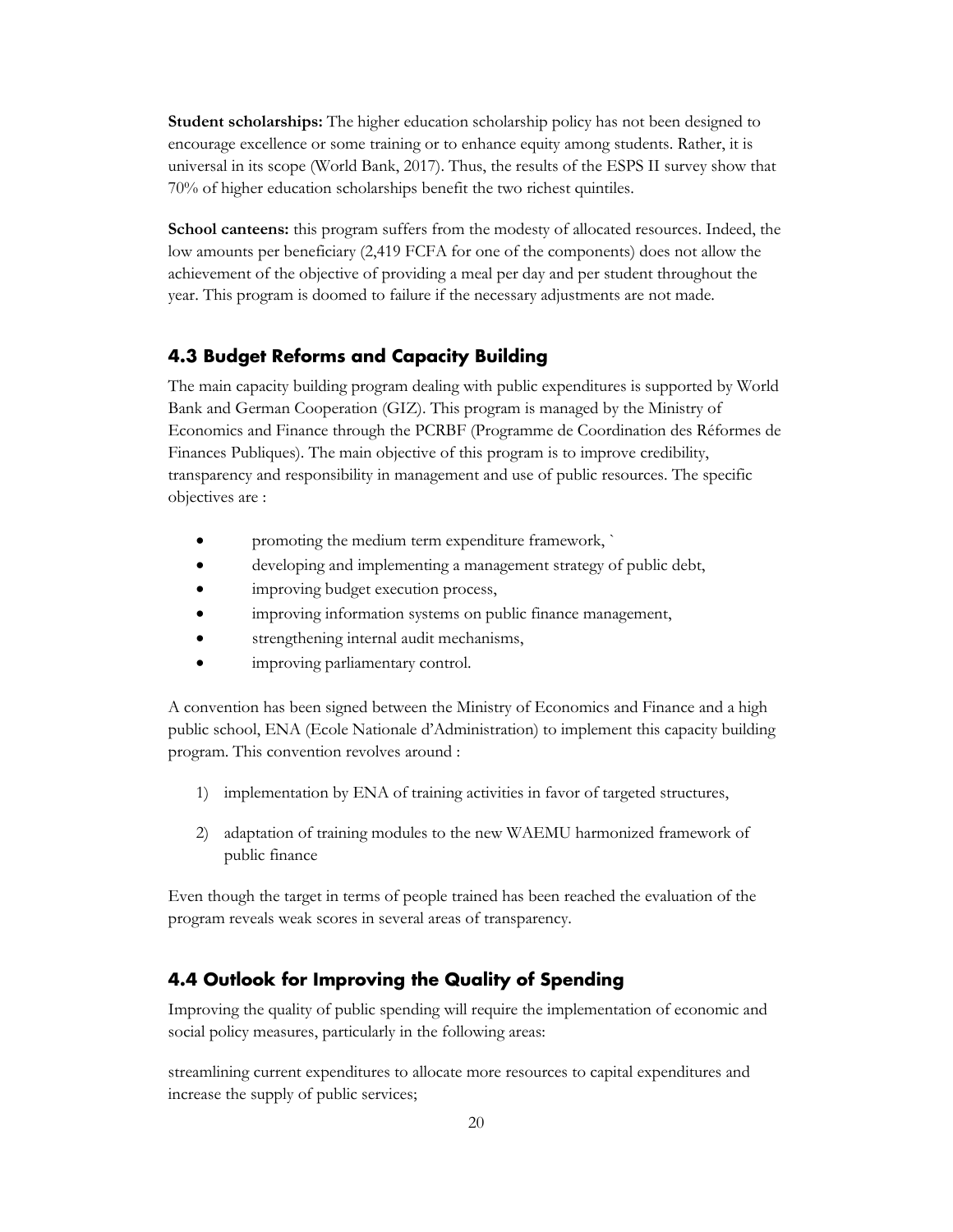**Student scholarships:** The higher education scholarship policy has not been designed to encourage excellence or some training or to enhance equity among students. Rather, it is universal in its scope (World Bank, 2017). Thus, the results of the ESPS II survey show that 70% of higher education scholarships benefit the two richest quintiles.

**School canteens:** this program suffers from the modesty of allocated resources. Indeed, the low amounts per beneficiary (2,419 FCFA for one of the components) does not allow the achievement of the objective of providing a meal per day and per student throughout the year. This program is doomed to failure if the necessary adjustments are not made.

#### <span id="page-23-0"></span>**4.3 Budget Reforms and Capacity Building**

The main capacity building program dealing with public expenditures is supported by World Bank and German Cooperation (GIZ). This program is managed by the Ministry of Economics and Finance through the PCRBF (Programme de Coordination des Réformes de Finances Publiques). The main objective of this program is to improve credibility, transparency and responsibility in management and use of public resources. The specific objectives are :

- promoting the medium term expenditure framework, `
- developing and implementing a management strategy of public debt,
- improving budget execution process,
- improving information systems on public finance management,
- strengthening internal audit mechanisms,
- improving parliamentary control.

A convention has been signed between the Ministry of Economics and Finance and a high public school, ENA (Ecole Nationale d'Administration) to implement this capacity building program. This convention revolves around :

- 1) implementation by ENA of training activities in favor of targeted structures,
- 2) adaptation of training modules to the new WAEMU harmonized framework of public finance

Even though the target in terms of people trained has been reached the evaluation of the program reveals weak scores in several areas of transparency.

#### <span id="page-23-1"></span>**4.4 Outlook for Improving the Quality of Spending**

Improving the quality of public spending will require the implementation of economic and social policy measures, particularly in the following areas:

streamlining current expenditures to allocate more resources to capital expenditures and increase the supply of public services;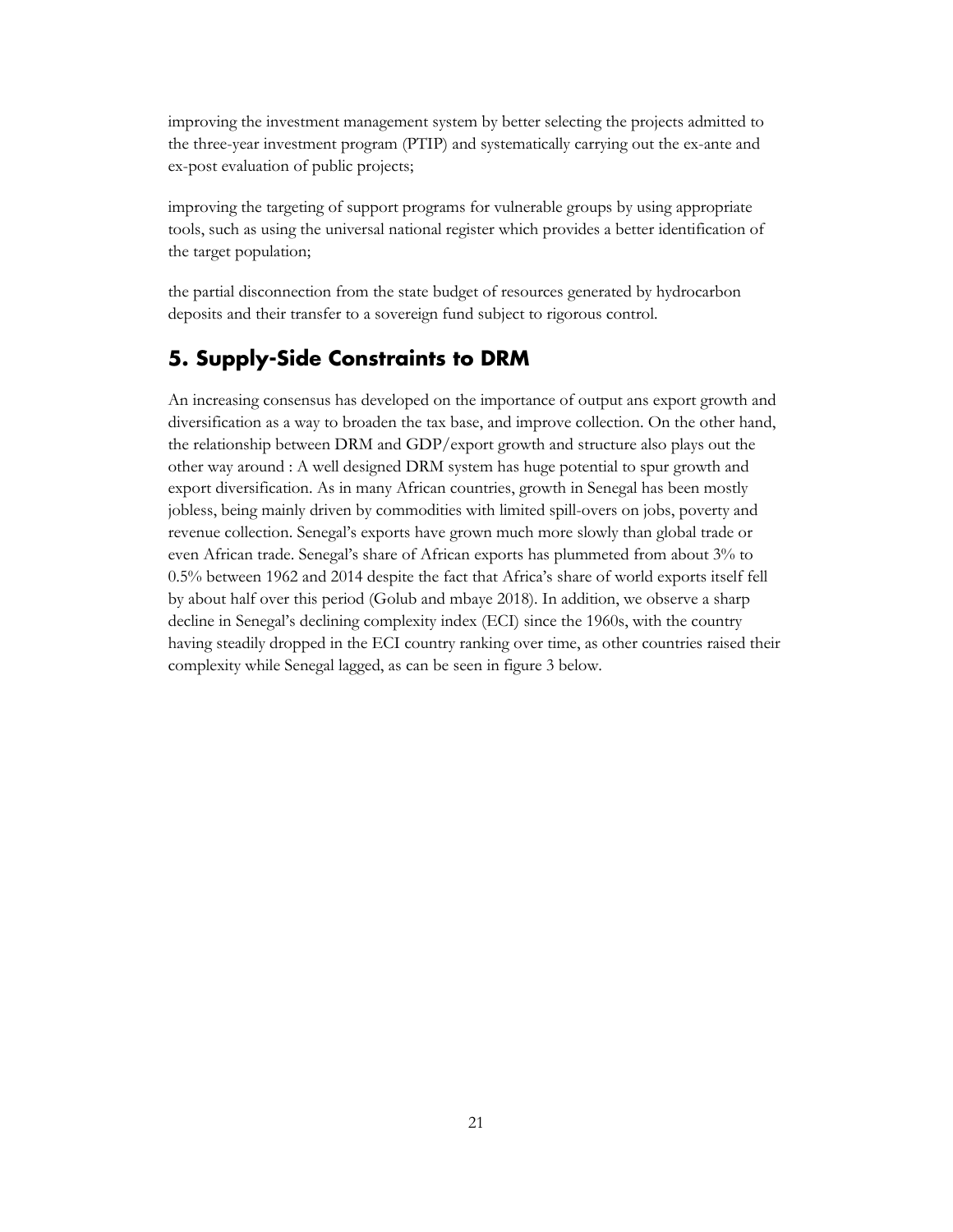improving the investment management system by better selecting the projects admitted to the three-year investment program (PTIP) and systematically carrying out the ex-ante and ex-post evaluation of public projects;

improving the targeting of support programs for vulnerable groups by using appropriate tools, such as using the universal national register which provides a better identification of the target population;

the partial disconnection from the state budget of resources generated by hydrocarbon deposits and their transfer to a sovereign fund subject to rigorous control.

## <span id="page-24-0"></span>**5. Supply-Side Constraints to DRM**

An increasing consensus has developed on the importance of output ans export growth and diversification as a way to broaden the tax base, and improve collection. On the other hand, the relationship between DRM and GDP/export growth and structure also plays out the other way around : A well designed DRM system has huge potential to spur growth and export diversification. As in many African countries, growth in Senegal has been mostly jobless, being mainly driven by commodities with limited spill-overs on jobs, poverty and revenue collection. Senegal's exports have grown much more slowly than global trade or even African trade. Senegal's share of African exports has plummeted from about 3% to 0.5% between 1962 and 2014 despite the fact that Africa's share of world exports itself fell by about half over this period (Golub and mbaye 2018). In addition, we observe a sharp decline in Senegal's declining complexity index (ECI) since the 1960s, with the country having steadily dropped in the ECI country ranking over time, as other countries raised their complexity while Senegal lagged, as can be seen in figure 3 below.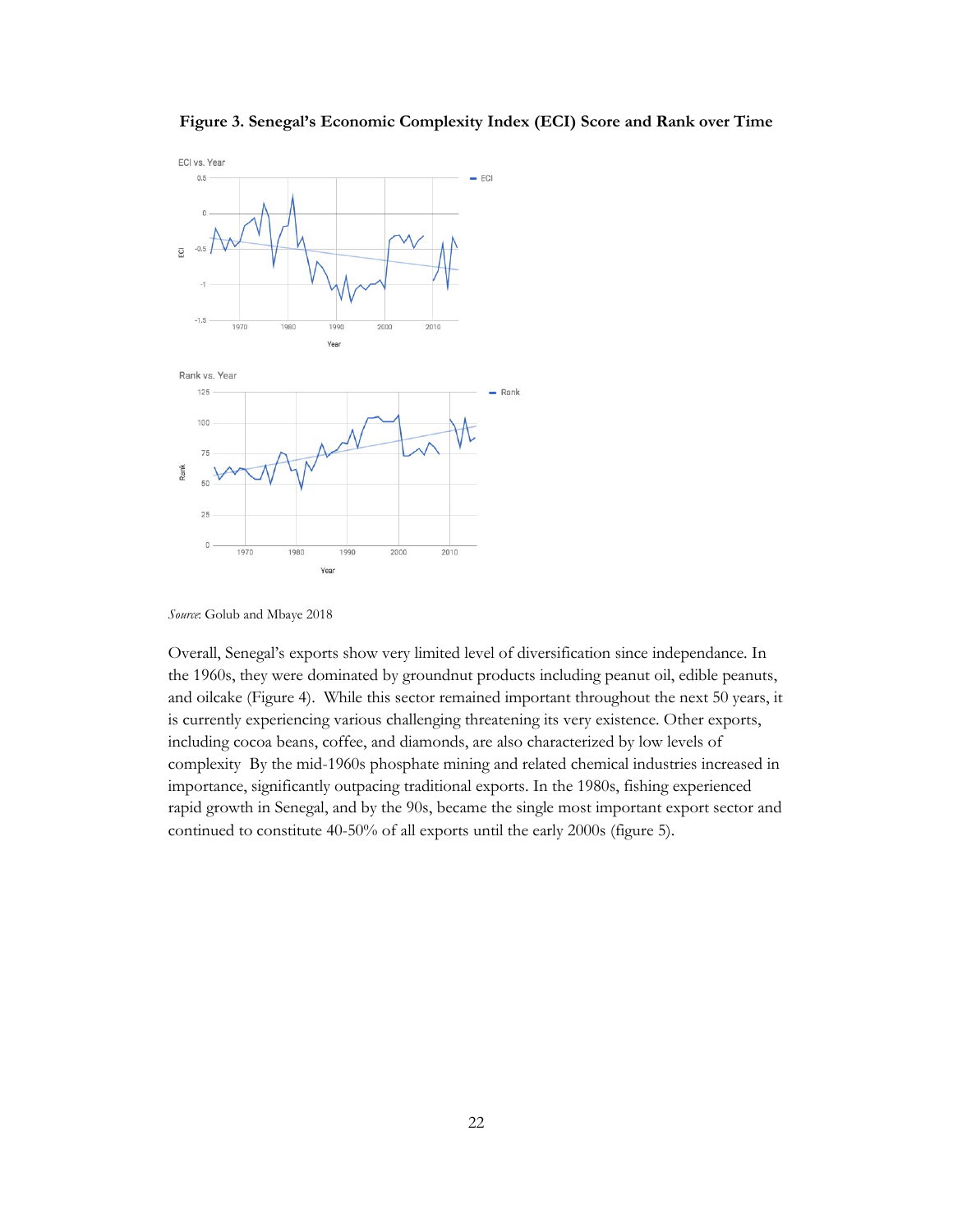



*Source*: Golub and Mbaye 2018

Overall, Senegal's exports show very limited level of diversification since independance. In the 1960s, they were dominated by groundnut products including peanut oil, edible peanuts, and oilcake (Figure 4). While this sector remained important throughout the next 50 years, it is currently experiencing various challenging threatening its very existence. Other exports, including cocoa beans, coffee, and diamonds, are also characterized by low levels of complexity By the mid-1960s phosphate mining and related chemical industries increased in importance, significantly outpacing traditional exports. In the 1980s, fishing experienced rapid growth in Senegal, and by the 90s, became the single most important export sector and continued to constitute 40-50% of all exports until the early 2000s (figure 5).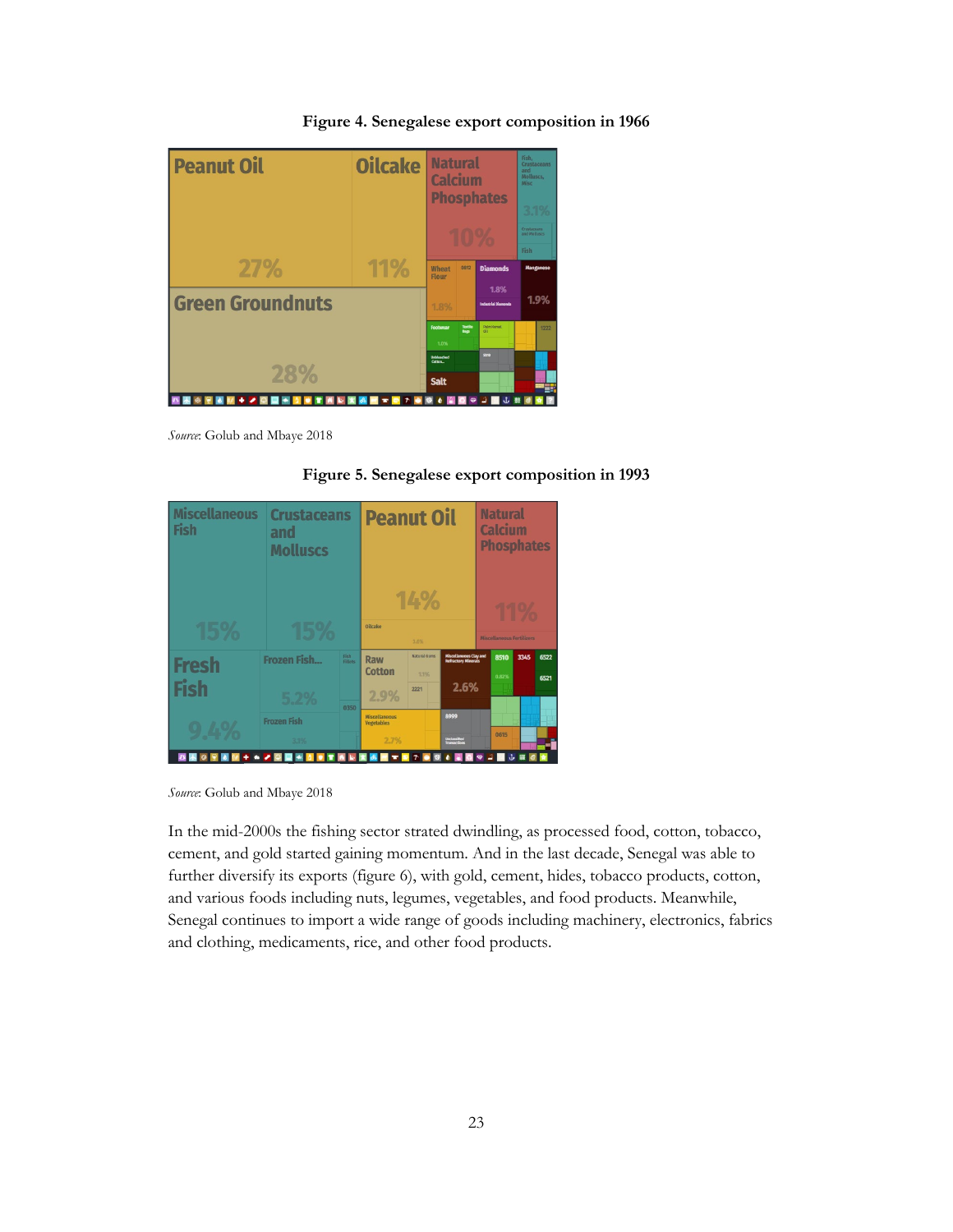

**Figure 4. Senegalese export composition in 1966**

*Source*: Golub and Mbaye 2018

**Figure 5. Senegalese export composition in 1993**

| <b>Miscellaneous</b><br><b>Fish</b> | <b>Crustaceans</b><br>and<br><b>Molluscs</b> | <b>Peanut Oil</b> |                                                           | <b>Natural</b><br><b>Calcium</b><br><b>Phosphates</b> |                                                               |                           |      |              |
|-------------------------------------|----------------------------------------------|-------------------|-----------------------------------------------------------|-------------------------------------------------------|---------------------------------------------------------------|---------------------------|------|--------------|
| 15%                                 | 15%                                          |                   | Oilcake                                                   | 14%<br>3.6%                                           |                                                               | Miscellaneous Fertilizers | 11%  |              |
| <b>Fresh</b><br><b>Fish</b>         | <b>Frozen Fish</b>                           | Fish<br>Fillets   | Raw<br><b>Cotton</b>                                      | <b>Natural Gums</b><br>7.1%<br>2221                   | <b>Miscellaneous Clay and<br/>Refractory Minerals</b><br>2.6% | 8510<br>0.82%             | 3345 | 6522<br>6521 |
| 9.4%                                | 5.2%<br><b>Frozen Fish</b><br>3.1%           | 0350              | 2.9%<br><b>Miscellaneous</b><br><b>Vegetables</b><br>2.7% |                                                       | 8999<br>Unclassified<br>Transactions                          | 0615                      |      |              |
| $+ 42$                              | 9 E<br>$\blacktriangleleft$<br><b>D</b>      |                   | 出版文集                                                      | $\tau$<br>$\bullet$                                   | $\bullet$<br><b>BO</b>                                        | $\bullet$ $\blacksquare$  | 山區   |              |

*Source*: Golub and Mbaye 2018

In the mid-2000s the fishing sector strated dwindling, as processed food, cotton, tobacco, cement, and gold started gaining momentum. And in the last decade, Senegal was able to further diversify its exports (figure 6), with gold, cement, hides, tobacco products, cotton, and various foods including nuts, legumes, vegetables, and food products. Meanwhile, Senegal continues to import a wide range of goods including machinery, electronics, fabrics and clothing, medicaments, rice, and other food products.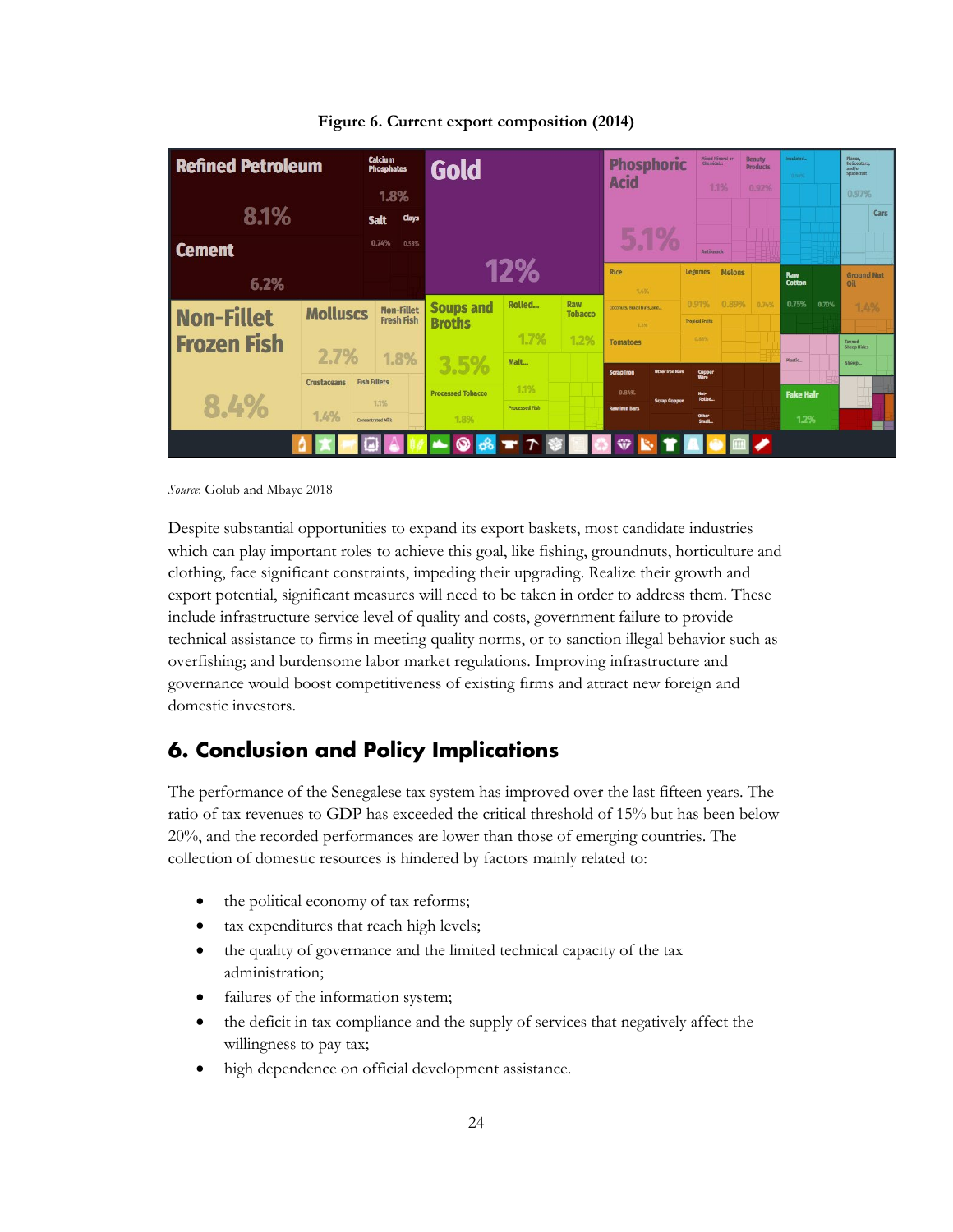| <b>Refined Petroleum</b> |                    | <b>Calcium</b><br><b>Phosphates</b>    | Gold                     |                       |                       | <b>Phosphoric</b><br><b>Acid</b>              |                                 | Mixed Mineral or<br>Chemical | <b>Beauty</b><br><b>Products</b> | Insulated<br>0.58% |                          | Planes,<br>Helicopters.<br>and/or<br>Spacecraft |      |
|--------------------------|--------------------|----------------------------------------|--------------------------|-----------------------|-----------------------|-----------------------------------------------|---------------------------------|------------------------------|----------------------------------|--------------------|--------------------------|-------------------------------------------------|------|
|                          |                    | 1.8%                                   |                          |                       |                       |                                               |                                 | 1.1%                         | 0.92%                            |                    |                          | 0.97%                                           |      |
| 8.1%                     |                    | Clays<br><b>Salt</b>                   |                          |                       |                       |                                               |                                 |                              |                                  |                    |                          |                                                 | Cars |
| <b>Cement</b>            |                    | 0.74%<br>0.58%                         |                          |                       |                       | 5.1%                                          | Antiknock                       |                              |                                  |                    |                          |                                                 |      |
| 6.2%                     |                    |                                        | 12%                      |                       | Rice<br>1.4%          | <b>Legumes</b>                                | <b>Melons</b>                   |                              | Raw<br>Cotton                    |                    | <b>Ground Nut</b><br>Oil |                                                 |      |
| <b>Non-Fillet</b>        | <b>Molluscs</b>    | <b>Non-Fillet</b><br><b>Fresh Fish</b> | <b>Soups and</b>         | Rolled                | Raw<br><b>Tobacco</b> | Corners, Brazil Nuts, and.,                   | 0.91%                           | 0.89%                        | 0.74%                            | 0.75%              | 0.70%                    | 1.4%                                            |      |
| <b>Frozen Fish</b>       |                    |                                        | <b>Broths</b>            | 1.7%                  | 1.2%                  | 1.3%<br><b>Tomatoes</b>                       | <b>Tropical Fruits</b><br>0.53% |                              |                                  |                    |                          | Tanned                                          |      |
|                          | 2.7%               | 1.8%                                   | 3.5%                     | Malt                  |                       |                                               |                                 |                              |                                  | Plastic            |                          | Sheep Hides<br>Sheep                            |      |
|                          | <b>Crustaceans</b> | <b>Fish Fillets</b>                    |                          | 1.1%                  |                       | Other Iron Bars<br><b>Scrap Iron</b><br>0.84% | Copper                          |                              |                                  |                    |                          |                                                 |      |
| 8.4%                     |                    | 1.1%                                   | <b>Processed Tobacco</b> | <b>Processed Fish</b> |                       | <b>Scrap Copper</b><br><b>Raw Iron Bars</b>   | Hot-<br><b>Rolled</b>           |                              |                                  | <b>Fake Hair</b>   |                          |                                                 |      |
| 1.4%                     |                    | <b>Concentrated Milk</b>               | 1.8%                     |                       |                       |                                               | Other<br>Small.                 |                              |                                  | 1.2%               |                          |                                                 |      |
|                          |                    |                                        |                          |                       |                       | ₩                                             |                                 |                              |                                  |                    |                          |                                                 |      |

**Figure 6. Current export composition (2014)**

*Source*: Golub and Mbaye 2018

Despite substantial opportunities to expand its export baskets, most candidate industries which can play important roles to achieve this goal, like fishing, groundnuts, horticulture and clothing, face significant constraints, impeding their upgrading. Realize their growth and export potential, significant measures will need to be taken in order to address them. These include infrastructure service level of quality and costs, government failure to provide technical assistance to firms in meeting quality norms, or to sanction illegal behavior such as overfishing; and burdensome labor market regulations. Improving infrastructure and governance would boost competitiveness of existing firms and attract new foreign and domestic investors.

## <span id="page-27-0"></span>**6. Conclusion and Policy Implications**

The performance of the Senegalese tax system has improved over the last fifteen years. The ratio of tax revenues to GDP has exceeded the critical threshold of 15% but has been below 20%, and the recorded performances are lower than those of emerging countries. The collection of domestic resources is hindered by factors mainly related to:

- the political economy of tax reforms;
- tax expenditures that reach high levels;
- the quality of governance and the limited technical capacity of the tax administration;
- failures of the information system;
- the deficit in tax compliance and the supply of services that negatively affect the willingness to pay tax;
- high dependence on official development assistance.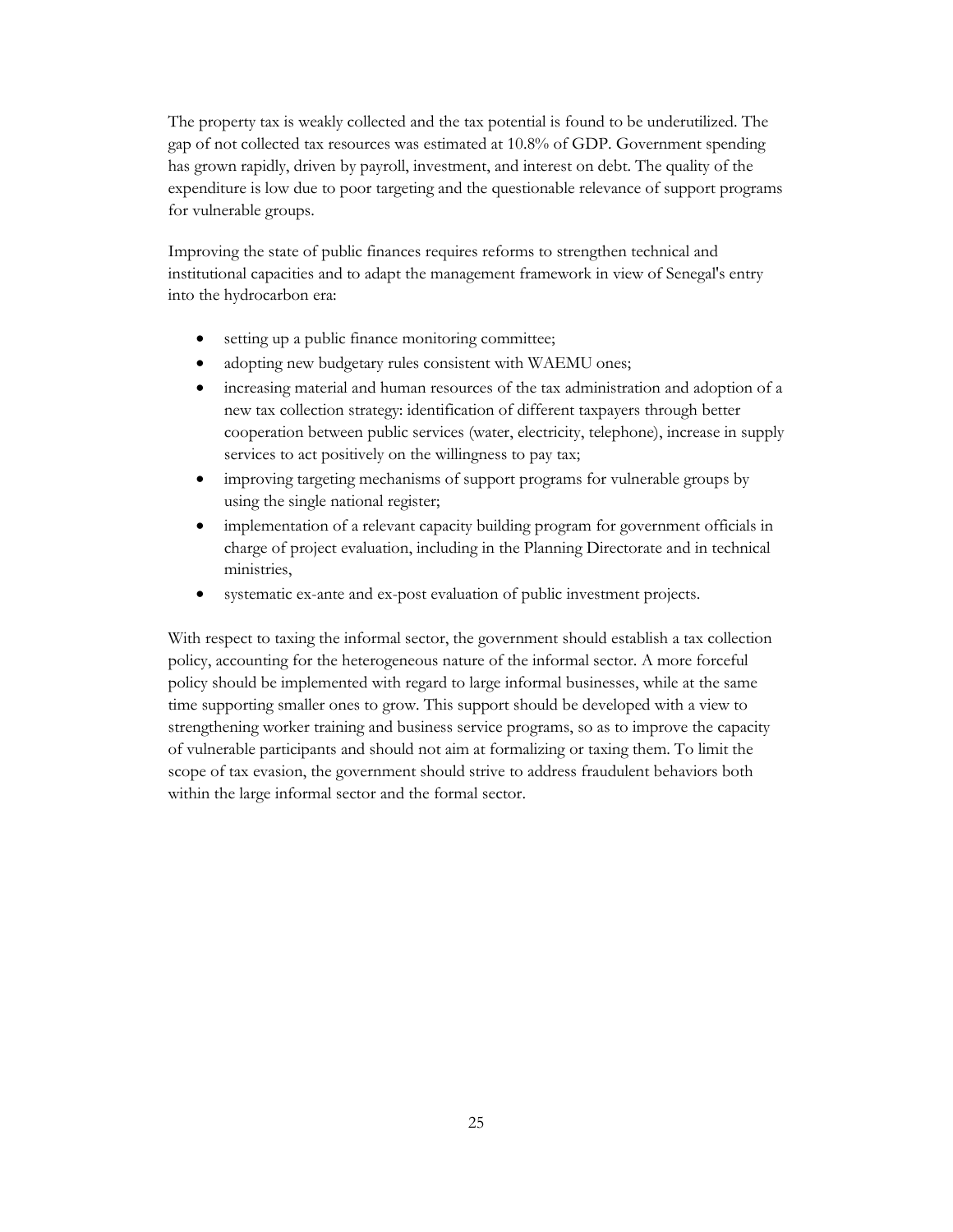The property tax is weakly collected and the tax potential is found to be underutilized. The gap of not collected tax resources was estimated at 10.8% of GDP. Government spending has grown rapidly, driven by payroll, investment, and interest on debt. The quality of the expenditure is low due to poor targeting and the questionable relevance of support programs for vulnerable groups.

Improving the state of public finances requires reforms to strengthen technical and institutional capacities and to adapt the management framework in view of Senegal's entry into the hydrocarbon era:

- setting up a public finance monitoring committee;
- adopting new budgetary rules consistent with WAEMU ones;
- increasing material and human resources of the tax administration and adoption of a new tax collection strategy: identification of different taxpayers through better cooperation between public services (water, electricity, telephone), increase in supply services to act positively on the willingness to pay tax;
- improving targeting mechanisms of support programs for vulnerable groups by using the single national register;
- implementation of a relevant capacity building program for government officials in charge of project evaluation, including in the Planning Directorate and in technical ministries,
- systematic ex-ante and ex-post evaluation of public investment projects.

With respect to taxing the informal sector, the government should establish a tax collection policy, accounting for the heterogeneous nature of the informal sector. A more forceful policy should be implemented with regard to large informal businesses, while at the same time supporting smaller ones to grow. This support should be developed with a view to strengthening worker training and business service programs, so as to improve the capacity of vulnerable participants and should not aim at formalizing or taxing them. To limit the scope of tax evasion, the government should strive to address fraudulent behaviors both within the large informal sector and the formal sector.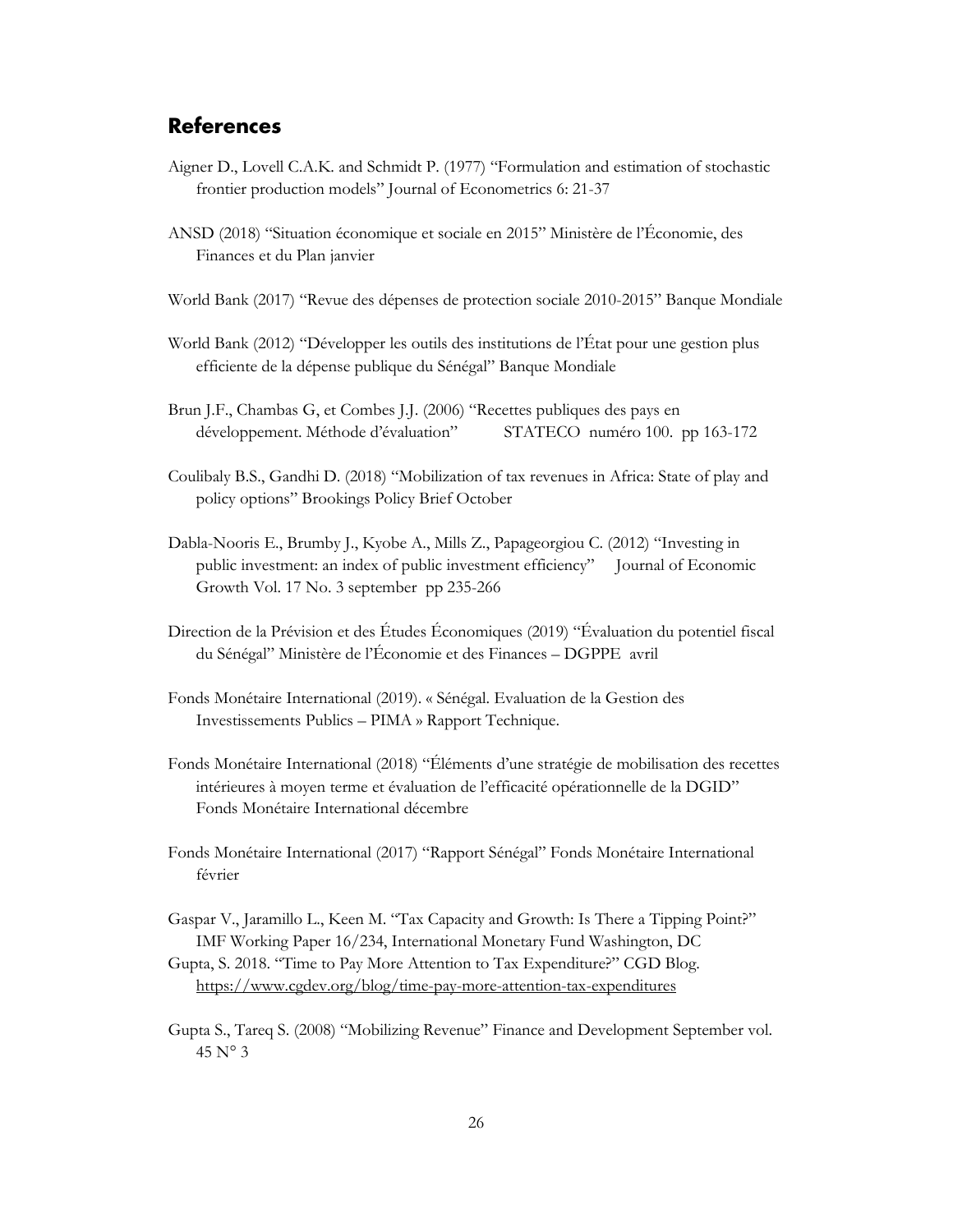### <span id="page-29-0"></span>**References**

- Aigner D., Lovell C.A.K. and Schmidt P. (1977) "Formulation and estimation of stochastic frontier production models" Journal of Econometrics 6: 21-37
- ANSD (2018) "Situation économique et sociale en 2015" Ministère de l'Économie, des Finances et du Plan janvier
- World Bank (2017) "Revue des dépenses de protection sociale 2010-2015" Banque Mondiale
- World Bank (2012) "Développer les outils des institutions de l'État pour une gestion plus efficiente de la dépense publique du Sénégal" Banque Mondiale
- Brun J.F., Chambas G, et Combes J.J. (2006) "Recettes publiques des pays en développement. Méthode d'évaluation" STATECO numéro 100. pp 163-172
- Coulibaly B.S., Gandhi D. (2018) "Mobilization of tax revenues in Africa: State of play and policy options" Brookings Policy Brief October
- Dabla-Nooris E., Brumby J., Kyobe A., Mills Z., Papageorgiou C. (2012) "Investing in public investment: an index of public investment efficiency" Journal of Economic Growth Vol. 17 No. 3 september pp 235-266
- Direction de la Prévision et des Études Économiques (2019) "Évaluation du potentiel fiscal du Sénégal" Ministère de l'Économie et des Finances – DGPPE avril
- Fonds Monétaire International (2019). « Sénégal. Evaluation de la Gestion des Investissements Publics – PIMA » Rapport Technique.
- Fonds Monétaire International (2018) "Éléments d'une stratégie de mobilisation des recettes intérieures à moyen terme et évaluation de l'efficacité opérationnelle de la DGID" Fonds Monétaire International décembre
- Fonds Monétaire International (2017) "Rapport Sénégal" Fonds Monétaire International février
- Gaspar V., Jaramillo L., Keen M. "Tax Capacity and Growth: Is There a Tipping Point?" IMF Working Paper 16/234, International Monetary Fund Washington, DC
- Gupta, S. 2018. "Time to Pay More Attention to Tax Expenditure?" CGD Blog. <https://www.cgdev.org/blog/time-pay-more-attention-tax-expenditures>
- Gupta S., Tareq S. (2008) "Mobilizing Revenue" Finance and Development September vol. 45 N° 3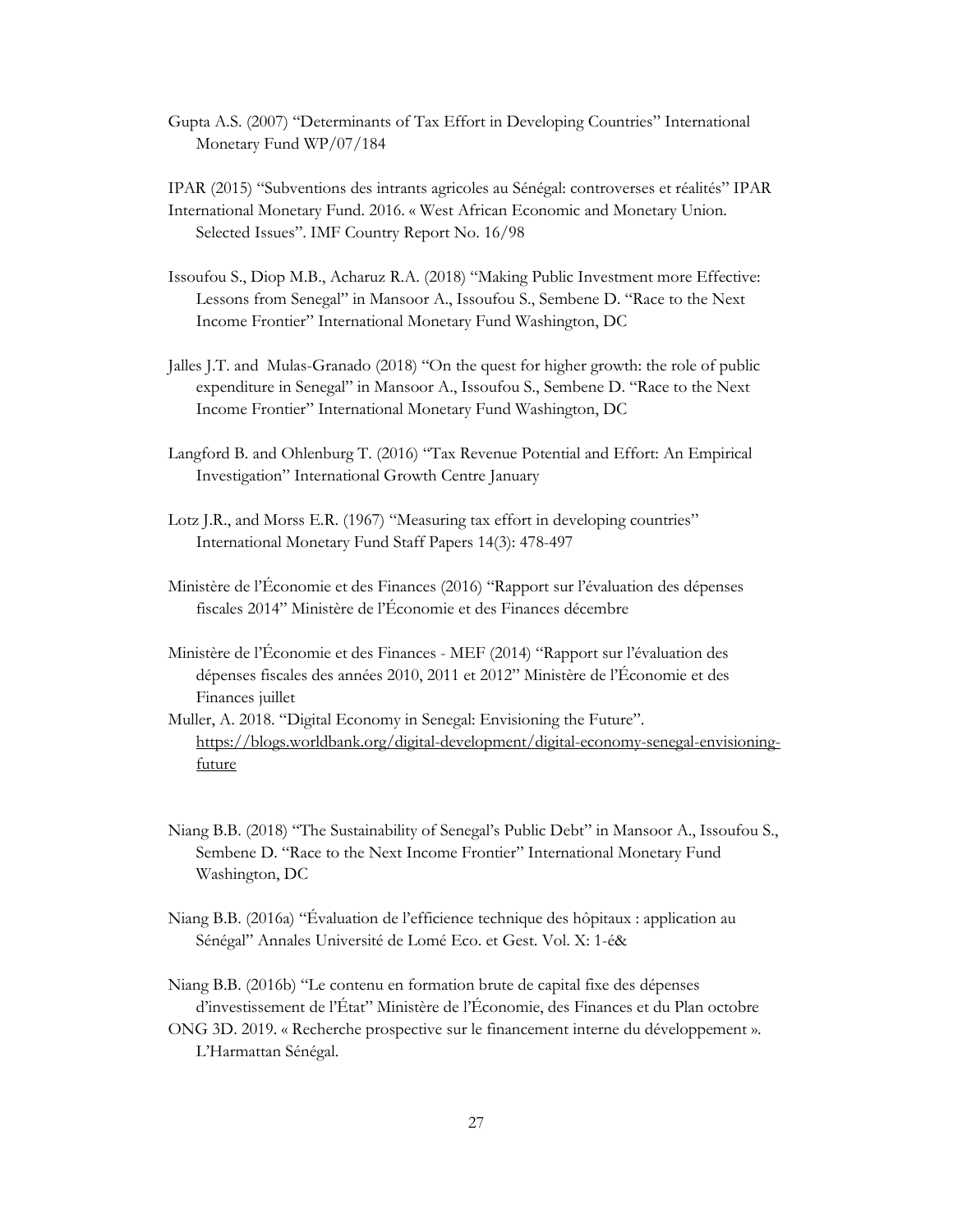Gupta A.S. (2007) "Determinants of Tax Effort in Developing Countries" International Monetary Fund WP/07/184

IPAR (2015) "Subventions des intrants agricoles au Sénégal: controverses et réalités" IPAR International Monetary Fund. 2016. « West African Economic and Monetary Union. Selected Issues". IMF Country Report No. 16/98

- Issoufou S., Diop M.B., Acharuz R.A. (2018) "Making Public Investment more Effective: Lessons from Senegal" in Mansoor A., Issoufou S., Sembene D. "Race to the Next Income Frontier" International Monetary Fund Washington, DC
- Jalles J.T. and Mulas-Granado (2018) "On the quest for higher growth: the role of public expenditure in Senegal" in Mansoor A., Issoufou S., Sembene D. "Race to the Next Income Frontier" International Monetary Fund Washington, DC
- Langford B. and Ohlenburg T. (2016) "Tax Revenue Potential and Effort: An Empirical Investigation" International Growth Centre January
- Lotz J.R., and Morss E.R. (1967) "Measuring tax effort in developing countries" International Monetary Fund Staff Papers 14(3): 478-497
- Ministère de l'Économie et des Finances (2016) "Rapport sur l'évaluation des dépenses fiscales 2014" Ministère de l'Économie et des Finances décembre
- Ministère de l'Économie et des Finances MEF (2014) "Rapport sur l'évaluation des dépenses fiscales des années 2010, 2011 et 2012" Ministère de l'Économie et des Finances juillet
- Muller, A. 2018. "Digital Economy in Senegal: Envisioning the Future". [https://blogs.worldbank.org/digital-development/digital-economy-senegal-envisioning](https://blogs.worldbank.org/digital-development/digital-economy-senegal-envisioning-future)[future](https://blogs.worldbank.org/digital-development/digital-economy-senegal-envisioning-future)
- Niang B.B. (2018) "The Sustainability of Senegal's Public Debt" in Mansoor A., Issoufou S., Sembene D. "Race to the Next Income Frontier" International Monetary Fund Washington, DC
- Niang B.B. (2016a) "Évaluation de l'efficience technique des hôpitaux : application au Sénégal" Annales Université de Lomé Eco. et Gest. Vol. X: 1-é&

Niang B.B. (2016b) "Le contenu en formation brute de capital fixe des dépenses d'investissement de l'État" Ministère de l'Économie, des Finances et du Plan octobre

ONG 3D. 2019. « Recherche prospective sur le financement interne du développement ». L'Harmattan Sénégal.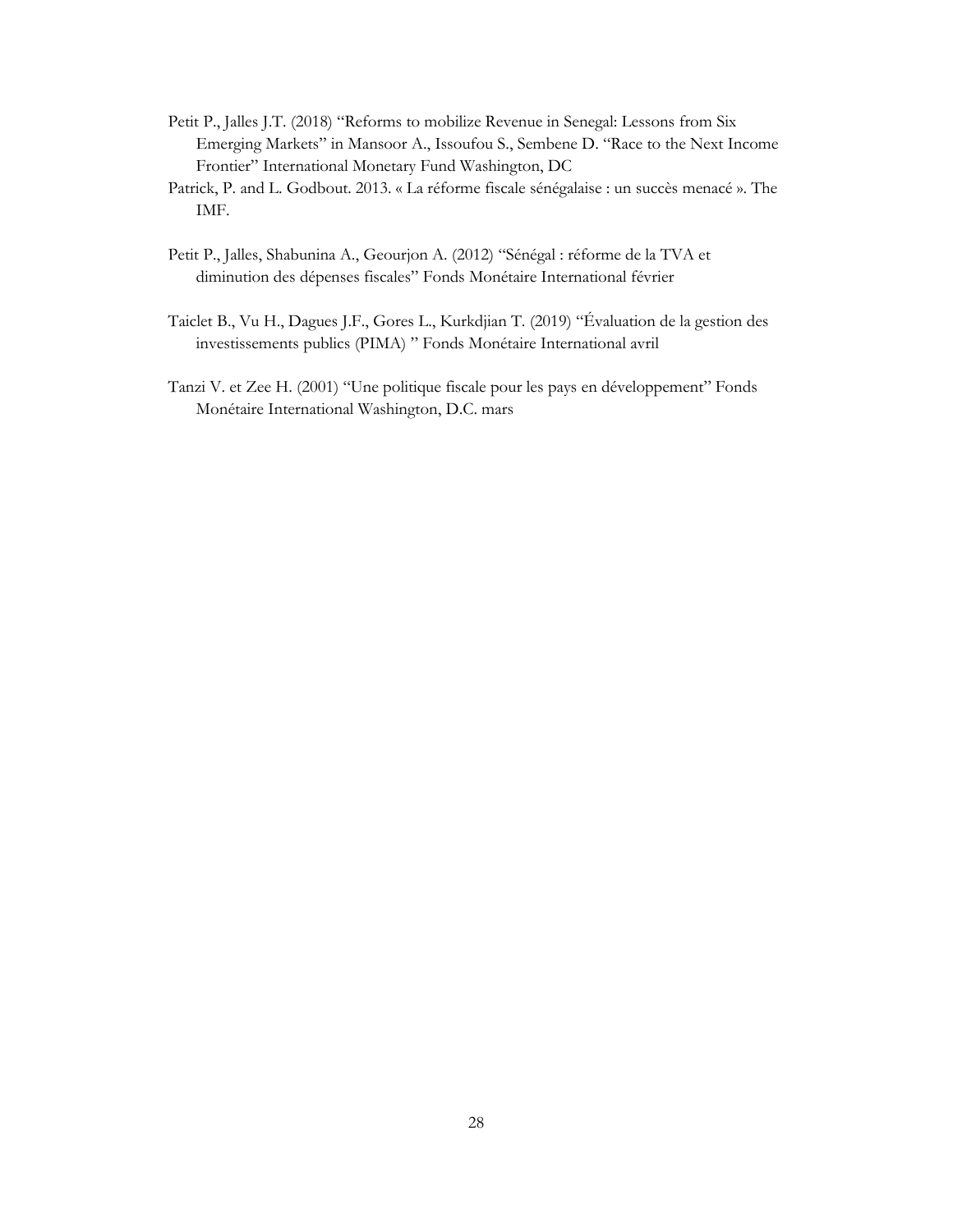- Petit P., Jalles J.T. (2018) "Reforms to mobilize Revenue in Senegal: Lessons from Six Emerging Markets" in Mansoor A., Issoufou S., Sembene D. "Race to the Next Income Frontier" International Monetary Fund Washington, DC
- Patrick, P. and L. Godbout. 2013. « La réforme fiscale sénégalaise : un succès menacé ». The IMF.
- Petit P., Jalles, Shabunina A., Geourjon A. (2012) "Sénégal : réforme de la TVA et diminution des dépenses fiscales" Fonds Monétaire International février
- Taiclet B., Vu H., Dagues J.F., Gores L., Kurkdjian T. (2019) "Évaluation de la gestion des investissements publics (PIMA) " Fonds Monétaire International avril
- Tanzi V. et Zee H. (2001) "Une politique fiscale pour les pays en développement" Fonds Monétaire International Washington, D.C. mars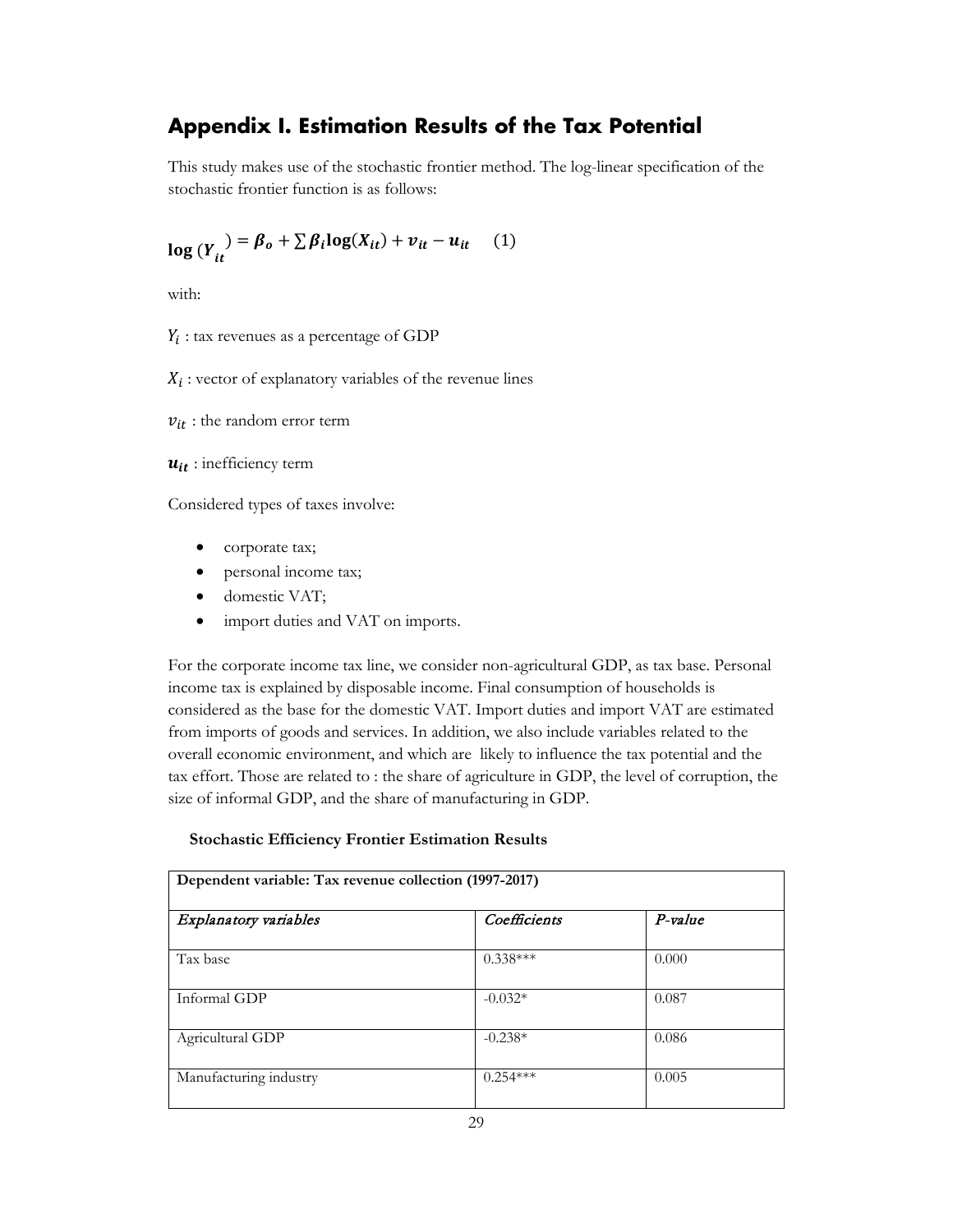## <span id="page-32-0"></span>**Appendix I. Estimation Results of the Tax Potential**

This study makes use of the stochastic frontier method. The log-linear specification of the stochastic frontier function is as follows:

$$
\log(Y_{it}) = \beta_o + \sum \beta_i \log(X_{it}) + v_{it} - u_{it} \quad (1)
$$

with:

 $Y_i$ : tax revenues as a percentage of GDP

 $X_i$ : vector of explanatory variables of the revenue lines

 $v_{it}$ : the random error term

 $u_{it}$ : inefficiency term

Considered types of taxes involve:

- corporate tax;
- personal income tax;
- domestic VAT;
- import duties and VAT on imports.

For the corporate income tax line, we consider non-agricultural GDP, as tax base. Personal income tax is explained by disposable income. Final consumption of households is considered as the base for the domestic VAT. Import duties and import VAT are estimated from imports of goods and services. In addition, we also include variables related to the overall economic environment, and which are likely to influence the tax potential and the tax effort. Those are related to : the share of agriculture in GDP, the level of corruption, the size of informal GDP, and the share of manufacturing in GDP.

#### **Stochastic Efficiency Frontier Estimation Results**

| Dependent variable: Tax revenue collection (1997-2017) |              |           |  |  |  |
|--------------------------------------------------------|--------------|-----------|--|--|--|
| Explanatory variables                                  | Coefficients | $P-value$ |  |  |  |
| Tax base                                               | $0.338***$   | 0.000     |  |  |  |
| Informal GDP                                           | $-0.032*$    | 0.087     |  |  |  |
| Agricultural GDP                                       | $-0.238*$    | 0.086     |  |  |  |
| Manufacturing industry                                 | $0.254***$   | 0.005     |  |  |  |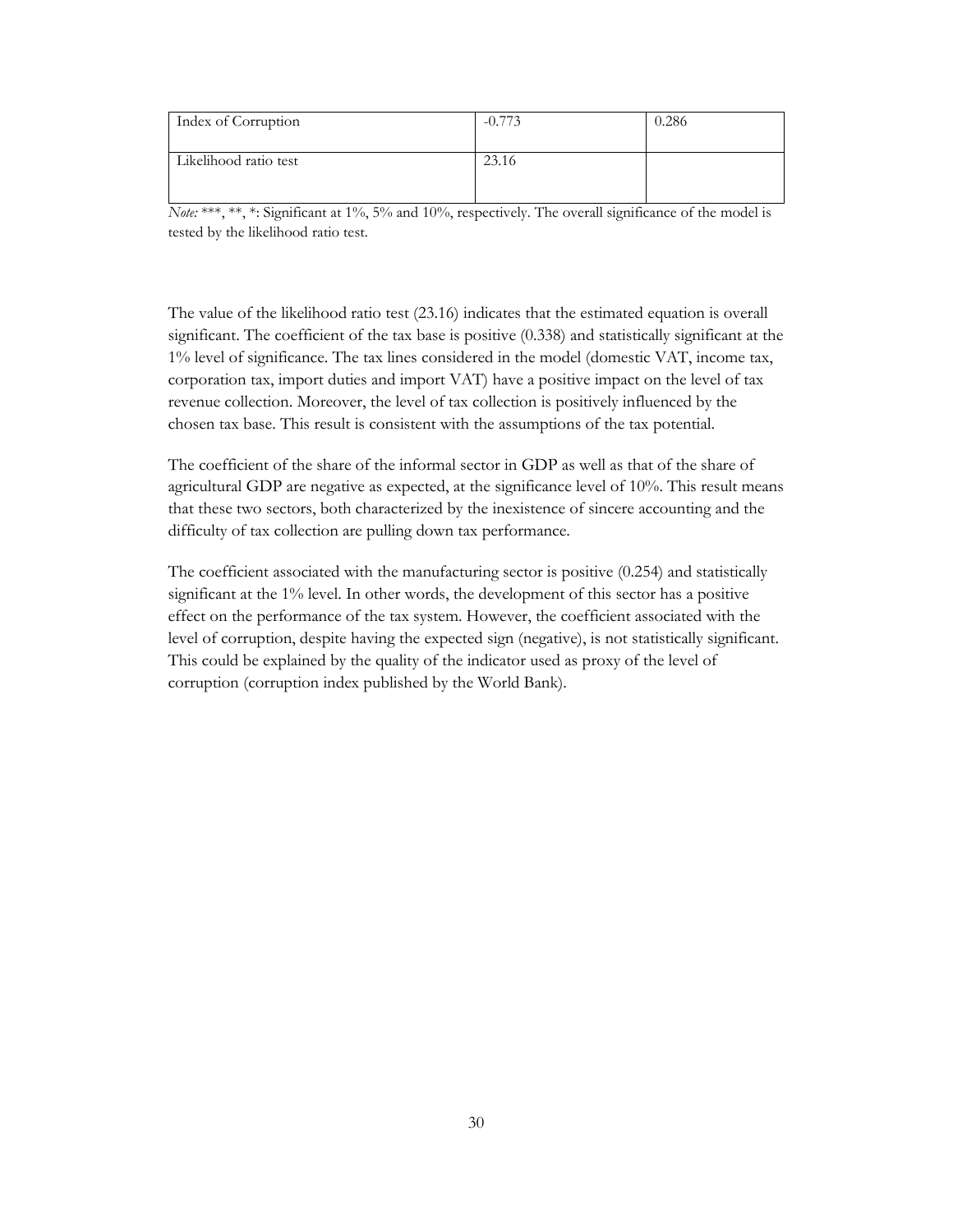| Index of Corruption   |       | 0.286 |
|-----------------------|-------|-------|
| Likelihood ratio test | 23.16 |       |

*Note:* \*\*\*, \*\*, \*: Significant at 1%, 5% and 10%, respectively. The overall significance of the model is tested by the likelihood ratio test.

The value of the likelihood ratio test (23.16) indicates that the estimated equation is overall significant. The coefficient of the tax base is positive (0.338) and statistically significant at the 1% level of significance. The tax lines considered in the model (domestic VAT, income tax, corporation tax, import duties and import VAT) have a positive impact on the level of tax revenue collection. Moreover, the level of tax collection is positively influenced by the chosen tax base. This result is consistent with the assumptions of the tax potential.

The coefficient of the share of the informal sector in GDP as well as that of the share of agricultural GDP are negative as expected, at the significance level of 10%. This result means that these two sectors, both characterized by the inexistence of sincere accounting and the difficulty of tax collection are pulling down tax performance.

The coefficient associated with the manufacturing sector is positive (0.254) and statistically significant at the 1% level. In other words, the development of this sector has a positive effect on the performance of the tax system. However, the coefficient associated with the level of corruption, despite having the expected sign (negative), is not statistically significant. This could be explained by the quality of the indicator used as proxy of the level of corruption (corruption index published by the World Bank).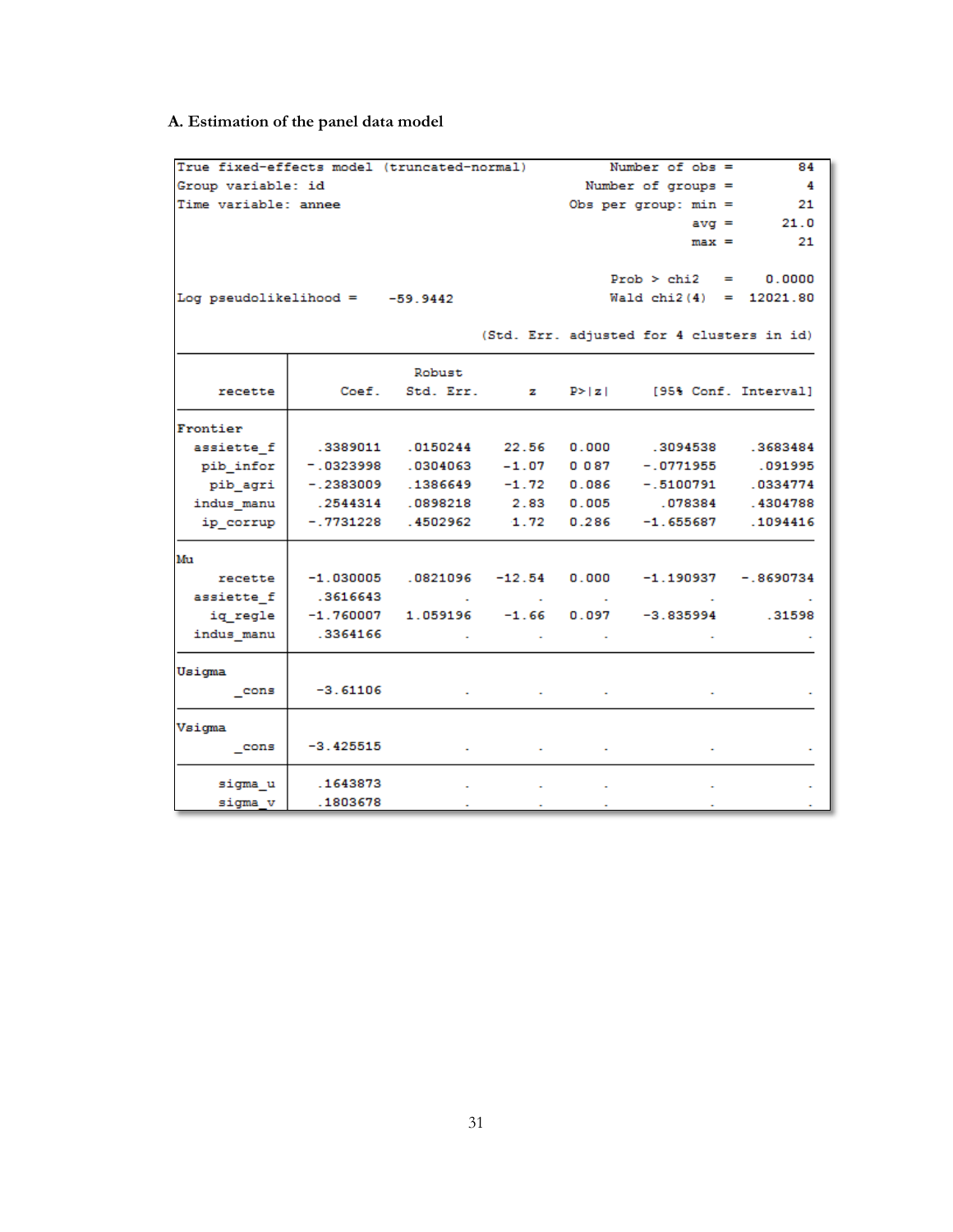## **A. Estimation of the panel data model**

| True fixed-effects model (truncated-normal) |                                      |                   |                  |                    | Number of $obs =$                                             | 84           |
|---------------------------------------------|--------------------------------------|-------------------|------------------|--------------------|---------------------------------------------------------------|--------------|
| Group variable: id                          |                                      |                   |                  | Number of groups = | - 4                                                           |              |
| Time variable: annee                        |                                      |                   |                  |                    | Obs per group: $min =$                                        | 21           |
|                                             |                                      |                   |                  |                    |                                                               | $avg = 21.0$ |
|                                             |                                      |                   |                  |                    | $max =$                                                       | 21           |
|                                             |                                      |                   |                  |                    |                                                               |              |
|                                             |                                      |                   |                  |                    | $Prob > chi2 =$                                               | 0.0000       |
| Log pseudolikelihood = $-59.9442$           |                                      |                   |                  |                    | Wald $chi2(4) = 12021.80$                                     |              |
|                                             |                                      |                   |                  |                    |                                                               |              |
|                                             |                                      |                   |                  |                    | (Std. Err. adjusted for 4 clusters in id)                     |              |
|                                             |                                      | Robust            |                  |                    |                                                               |              |
| recette                                     |                                      | Coef. Std. Err. z |                  |                    | $P >  z $ [95% Conf. Interval]                                |              |
| Frontier                                    |                                      |                   |                  |                    |                                                               |              |
| assiette f                                  | .3389011 .0150244                    |                   |                  |                    | 22.56 0.000 .3094538 .3683484                                 |              |
| pib infor                                   | $-0.0323998$ $0.0304063$             |                   | $-1.07$          | 0087               | $-.0771955$                                                   | .091995      |
| pib agri                                    | $-.2383009$ $.1386649$ $-1.72$ 0.086 |                   |                  |                    | $-.5100791$                                                   | .0334774     |
| indus manu                                  | .2544314 .0898218 2.83               |                   |                  |                    | 0.005 .078384                                                 | .4304788     |
| ip_corrup                                   | $-.7731228-.4502962$                 |                   | 1.72             | 0.286              | $-1.655687$                                                   | .1094416     |
| Mu                                          |                                      |                   |                  |                    |                                                               |              |
| recette                                     |                                      |                   |                  |                    | $-1.030005$ $.0821096$ $-12.54$ 0.000 $-1.190937$ $-.8690734$ |              |
| assiette f                                  | .3616643                             | <b>Contractor</b> | <b>Contract</b>  | <b>Contractor</b>  |                                                               |              |
| iq regle                                    | $-1.760007$                          |                   | $1.059196 -1.66$ |                    | $0.097 -3.835994$                                             | .31598       |
| indus manu                                  | .3364166                             |                   |                  |                    |                                                               |              |
| Usigma                                      |                                      |                   |                  |                    |                                                               |              |
| $_{\text{cons}}$                            | $-3.61106$                           |                   |                  |                    |                                                               |              |
| Vsigma                                      |                                      |                   |                  |                    |                                                               |              |
| cons                                        | $-3.425515$                          |                   |                  |                    |                                                               |              |
| sigma u                                     | .1643873                             | $\sim$            | $\sim$           | $\mathbf{r}$       | $\sim$                                                        |              |
| sigma v                                     | .1803678                             | $\sim$            | $\sim$           | $\sim$             | $\sim$                                                        | $\sim$       |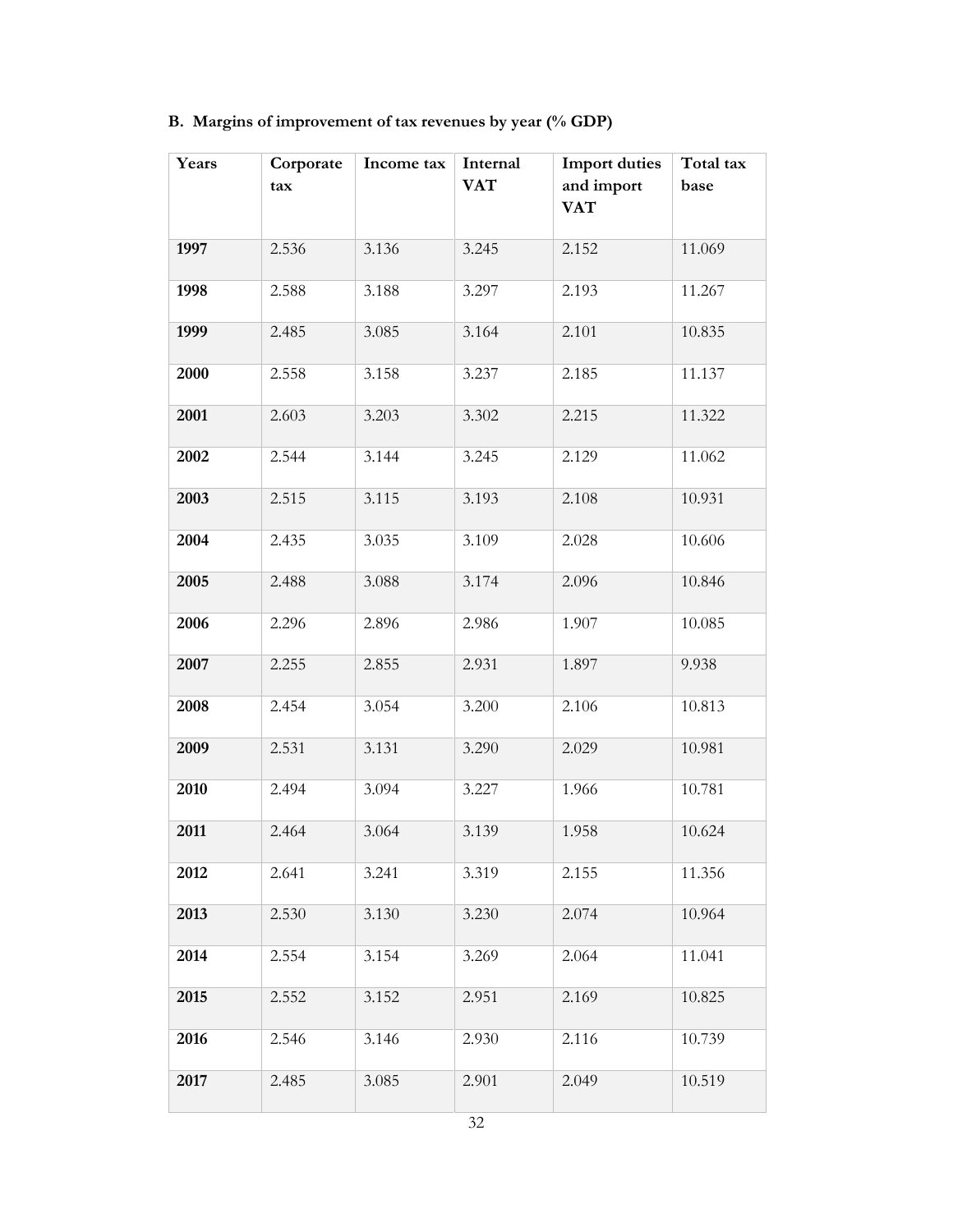| B. Margins of improvement of tax revenues by year (% GDP) |  |  |  |
|-----------------------------------------------------------|--|--|--|
|                                                           |  |  |  |

| Years | Corporate<br>tax | Income tax | Internal<br><b>VAT</b> | <b>Import duties</b><br>and import<br><b>VAT</b> | Total tax<br>base |
|-------|------------------|------------|------------------------|--------------------------------------------------|-------------------|
| 1997  | 2.536            | 3.136      | 3.245                  | 2.152                                            | 11.069            |
| 1998  | 2.588            | 3.188      | 3.297                  | 2.193                                            | 11.267            |
| 1999  | 2.485            | 3.085      | 3.164                  | 2.101                                            | 10.835            |
| 2000  | 2.558            | 3.158      | 3.237                  | 2.185                                            | 11.137            |
| 2001  | 2.603            | 3.203      | 3.302                  | 2.215                                            | 11.322            |
| 2002  | 2.544            | 3.144      | 3.245                  | 2.129                                            | 11.062            |
| 2003  | 2.515            | 3.115      | 3.193                  | 2.108                                            | 10.931            |
| 2004  | 2.435            | 3.035      | 3.109                  | 2.028                                            | 10.606            |
| 2005  | 2.488            | 3.088      | 3.174                  | 2.096                                            | 10.846            |
| 2006  | 2.296            | 2.896      | 2.986                  | 1.907                                            | 10.085            |
| 2007  | 2.255            | 2.855      | 2.931                  | 1.897                                            | 9.938             |
| 2008  | 2.454            | 3.054      | 3.200                  | 2.106                                            | 10.813            |
| 2009  | 2.531            | 3.131      | 3.290                  | 2.029                                            | 10.981            |
| 2010  | 2.494            | 3.094      | 3.227                  | 1.966                                            | 10.781            |
| 2011  | 2.464            | 3.064      | 3.139                  | 1.958                                            | 10.624            |
| 2012  | 2.641            | 3.241      | 3.319                  | 2.155                                            | 11.356            |
| 2013  | 2.530            | 3.130      | 3.230                  | 2.074                                            | 10.964            |
| 2014  | 2.554            | 3.154      | 3.269                  | 2.064                                            | 11.041            |
| 2015  | 2.552            | 3.152      | 2.951                  | 2.169                                            | 10.825            |
| 2016  | 2.546            | 3.146      | 2.930                  | 2.116                                            | 10.739            |
| 2017  | 2.485            | 3.085      | 2.901                  | 2.049                                            | 10.519            |